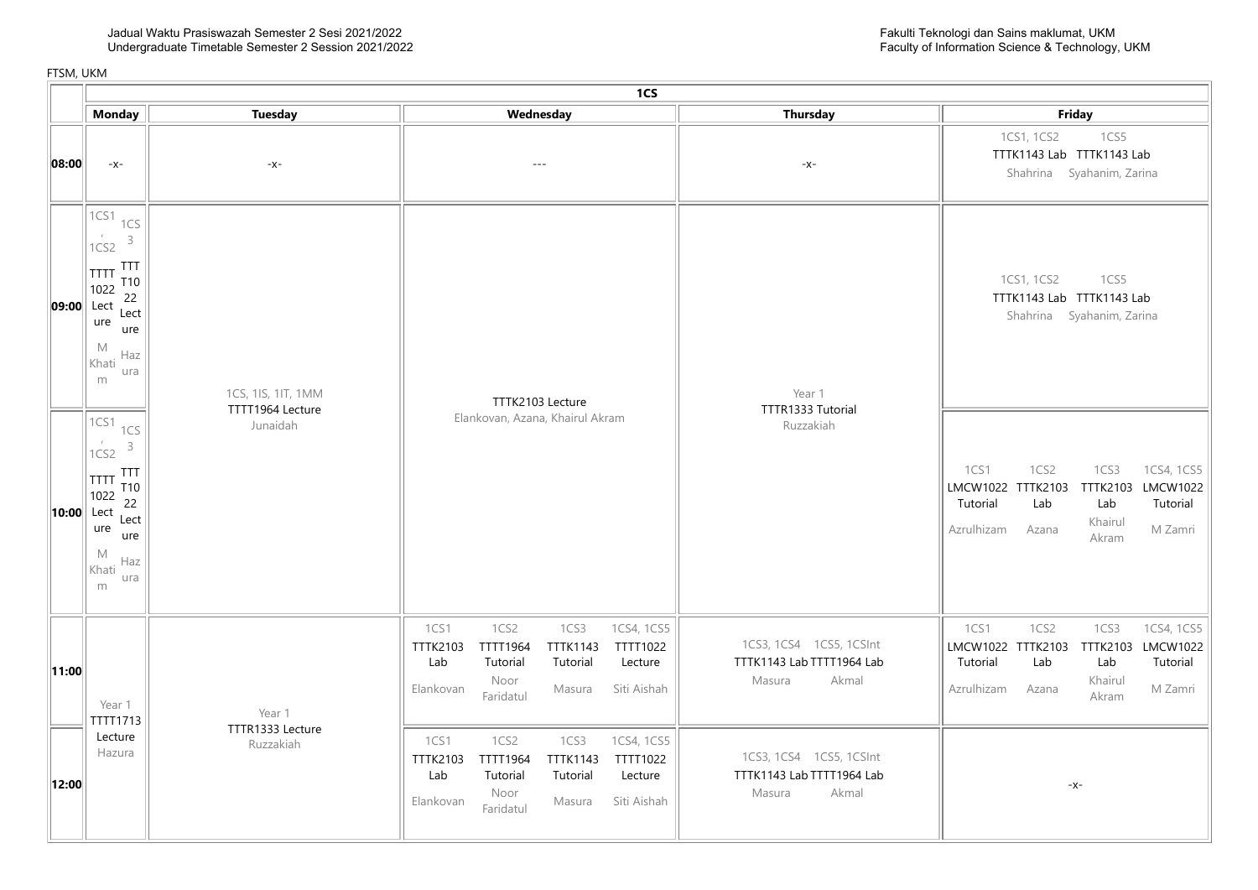|       |                                                                                                                                                                                            | 1CS                                    |                                                                                                                                                                                                              |                                              |                                                                                                                                                                                 |  |  |  |  |
|-------|--------------------------------------------------------------------------------------------------------------------------------------------------------------------------------------------|----------------------------------------|--------------------------------------------------------------------------------------------------------------------------------------------------------------------------------------------------------------|----------------------------------------------|---------------------------------------------------------------------------------------------------------------------------------------------------------------------------------|--|--|--|--|
|       | <b>Monday</b>                                                                                                                                                                              | <b>Tuesday</b>                         | Wednesday                                                                                                                                                                                                    | <b>Thursday</b>                              | Friday                                                                                                                                                                          |  |  |  |  |
| 08:00 | $-X-$                                                                                                                                                                                      | -x-                                    | $\sim$ $\sim$ $\sim$                                                                                                                                                                                         | $-x-$                                        | 1CS1, 1CS2<br>1CS5<br>TTTK1143 Lab TTTK1143 Lab<br>Shahrina Syahanim, Zarina                                                                                                    |  |  |  |  |
|       | 1CS1<br>1CS<br>$\overline{1}$<br>$\mathsf 3$<br>1CS2<br><b>TTT</b><br>TTTT<br>T <sub>10</sub><br>1022<br>22<br>09:00 Lect<br>Lect<br>ure<br>ure<br>$M_{\odot}$<br>Haz<br>Khati<br>ura<br>m | 1CS, 1IS, 1IT, 1MM<br>TTTT1964 Lecture | TTTK2103 Lecture                                                                                                                                                                                             | Year 1<br>TTTR1333 Tutorial                  | 1CS1, 1CS2<br>1CS5<br>TTTK1143 Lab TTTK1143 Lab<br>Shahrina Syahanim, Zarina                                                                                                    |  |  |  |  |
|       | 1CS1<br>1CS<br>$\cal I$<br>$\mathsf 3$<br>1CS2<br><b>TTT</b><br><b>TTTT</b><br>T10<br>1022<br>22<br>$  10:00  $ Lect<br>Lect<br>ure<br>ure<br>M<br>Haz<br>Khati<br>ura<br>m                | Junaidah                               | Elankovan, Azana, Khairul Akram                                                                                                                                                                              | Ruzzakiah                                    | 1CS2<br>1CS3<br>1CS4, 1CS5<br>1CS1<br>TTTK2103 LMCW1022<br>LMCW1022 TTTK2103<br>Tutorial<br>Lab<br>Lab<br>Tutorial<br>Khairul<br>Azrulhizam<br>M Zamri<br>Azana<br>Akram        |  |  |  |  |
| 11:00 | Year 1<br>TTTT1713                                                                                                                                                                         | Year 1                                 | 1CS2<br>1CS3<br>1CS4, 1CS5<br>1CS1<br>TTTT1964<br><b>TTTK1143</b><br>TTTT1022<br>TTTK2103<br>Tutorial<br>Tutorial<br>Lecture<br>Lab<br>Noor<br>Siti Aishah<br>Masura<br>Elankovan<br>Faridatul               | TTTK1143 Lab TTTT1964 Lab<br>Masura<br>Akmal | 1CS1<br>1CS2<br>1CS3<br>1CS4, 1CS5<br>LMCW1022 TTTK2103 TTTK2103<br><b>LMCW1022</b><br>Tutorial<br>Lab<br>Lab<br>Tutorial<br>Khairul<br>Azrulhizam<br>M Zamri<br>Azana<br>Akram |  |  |  |  |
|       | Lecture<br>Hazura<br>12:00                                                                                                                                                                 | TTTR1333 Lecture<br>Ruzzakiah          | 1CS1<br>1CS2<br>1CS3<br>1CS4, 1CS5<br>TTTT1022<br><b>TTTK2103</b><br><b>TTTT1964</b><br><b>TTTK1143</b><br>Tutorial<br>Tutorial<br>Lecture<br>Lab<br>Noor<br>Elankovan<br>Siti Aishah<br>Masura<br>Faridatul | TTTK1143 Lab TTTT1964 Lab<br>Masura<br>Akmal | $-x-$                                                                                                                                                                           |  |  |  |  |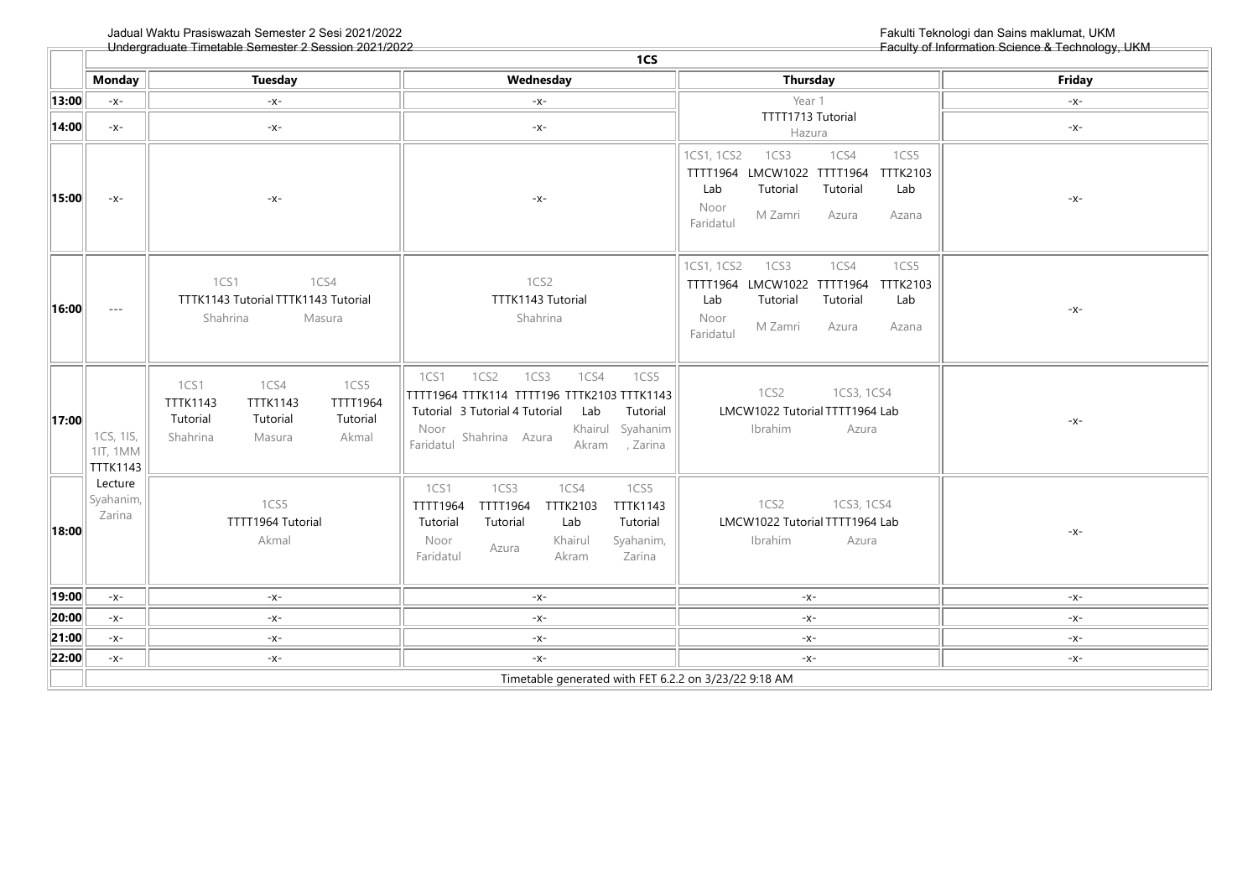$\overline{$ 

 $\overline{\phantom{0}}$ 

|                       | 1CS                                                   |                                                                                                                                                  |                                                                                                                                                                                                                                     |                                                                                                                                                                                       |               |  |  |
|-----------------------|-------------------------------------------------------|--------------------------------------------------------------------------------------------------------------------------------------------------|-------------------------------------------------------------------------------------------------------------------------------------------------------------------------------------------------------------------------------------|---------------------------------------------------------------------------------------------------------------------------------------------------------------------------------------|---------------|--|--|
|                       | <b>Monday</b>                                         | <b>Tuesday</b>                                                                                                                                   | Wednesday                                                                                                                                                                                                                           | Thursday                                                                                                                                                                              | <b>Friday</b> |  |  |
| $\ $ 13:00 $\ $       | $-X-$                                                 | $-X-$                                                                                                                                            | $-X-$                                                                                                                                                                                                                               | Year 1                                                                                                                                                                                | $-X-$         |  |  |
| $\vert$ 14:00 $\vert$ | $-x-$                                                 | $-X-$                                                                                                                                            | $-X-$                                                                                                                                                                                                                               | TTTT1713 Tutorial<br>Hazura                                                                                                                                                           | $-X-$         |  |  |
| 15:00                 | $-X-$                                                 | -x-                                                                                                                                              | -x-                                                                                                                                                                                                                                 | 1CS1, 1CS2<br>1CS3<br>1CS4<br>1CS5<br>TTTT1964 LMCW1022<br><b>TTTT1964</b><br><b>TTTK2103</b><br>Tutorial<br>Tutorial<br>Lab<br>Lab<br>Noor<br>M Zamri<br>Azura<br>Azana<br>Faridatul | -x-           |  |  |
| $\ 16:00\ $           | $- - -$                                               | 1CS1<br>1CS4<br>TTTK1143 Tutorial TTTK1143 Tutorial<br>Shahrina<br>Masura                                                                        | 1CS2<br>TTTK1143 Tutorial<br>Shahrina                                                                                                                                                                                               | 1CS4<br>1CS5<br>1CS1, 1CS2<br>1CS3<br>TTTT1964 LMCW1022<br>TTTT1964<br><b>TTTK2103</b><br>Tutorial<br>Tutorial<br>Lab<br>Lab<br>Noor<br>M Zamri<br>Azura<br>Azana<br>Faridatul        | -x-           |  |  |
| 17:00                 | 1CS, 1IS,<br>11T, 1MM<br><b>TTTK1143</b>              | 1CS4<br>1CS1<br>1CS5<br><b>TTTK1143</b><br><b>TTTK1143</b><br><b>TTTT1964</b><br>Tutorial<br>Tutorial<br>Tutorial<br>Shahrina<br>Akmal<br>Masura | 1CS <sub>2</sub><br>1CS3<br>1CS1<br>1CS4<br>1CS5<br>TTTT1964 TTTK114 TTTT196 TTTK2103 TTTK1143<br>Tutorial 3 Tutorial 4 Tutorial<br>Tutorial<br>Lab<br>Khairul Syahanim<br>Noor<br>Shahrina Azura<br>Faridatul<br>, Zarina<br>Akram | 1CS2<br>1CS3, 1CS4<br>LMCW1022 Tutorial TTTT1964 Lab<br>Ibrahim<br>Azura                                                                                                              | -x-           |  |  |
| 18:00                 | Lecture<br>Syahanim,<br>Zarina                        | 1CS5<br>TTTT1964 Tutorial<br>Akmal                                                                                                               | 1CS1<br>1CS3<br>1CS4<br>1CS5<br><b>TTTT1964</b><br><b>TTTK2103</b><br><b>TTTK1143</b><br><b>TTTT1964</b><br>Tutorial<br>Tutorial<br>Tutorial<br>Lab<br>Khairul<br>Syahanim,<br>Noor<br>Azura<br>Zarina<br>Faridatul<br>Akram        | 1CS2<br>1CS3, 1CS4<br>LMCW1022 Tutorial TTTT1964 Lab<br>Ibrahim<br>Azura                                                                                                              | -x-           |  |  |
| $\vert$ 19:00 $\vert$ | $-X-$                                                 | $-X-$                                                                                                                                            | -X-                                                                                                                                                                                                                                 | $-X-$                                                                                                                                                                                 | -x-           |  |  |
| 20:00                 | $-X-$                                                 | $-x-$                                                                                                                                            | $-x-$                                                                                                                                                                                                                               | $-x-$                                                                                                                                                                                 | $-X-$         |  |  |
| 21:00                 | $-X-$                                                 | $-x-$                                                                                                                                            | $-x-$                                                                                                                                                                                                                               | $-x-$                                                                                                                                                                                 | $-x-$         |  |  |
| 22:00                 | $-X-$                                                 | $-x-$                                                                                                                                            | $-x-$                                                                                                                                                                                                                               | $-X-$                                                                                                                                                                                 | $-x-$         |  |  |
|                       | Timetable generated with FET 6.2.2 on 3/23/22 9:18 AM |                                                                                                                                                  |                                                                                                                                                                                                                                     |                                                                                                                                                                                       |               |  |  |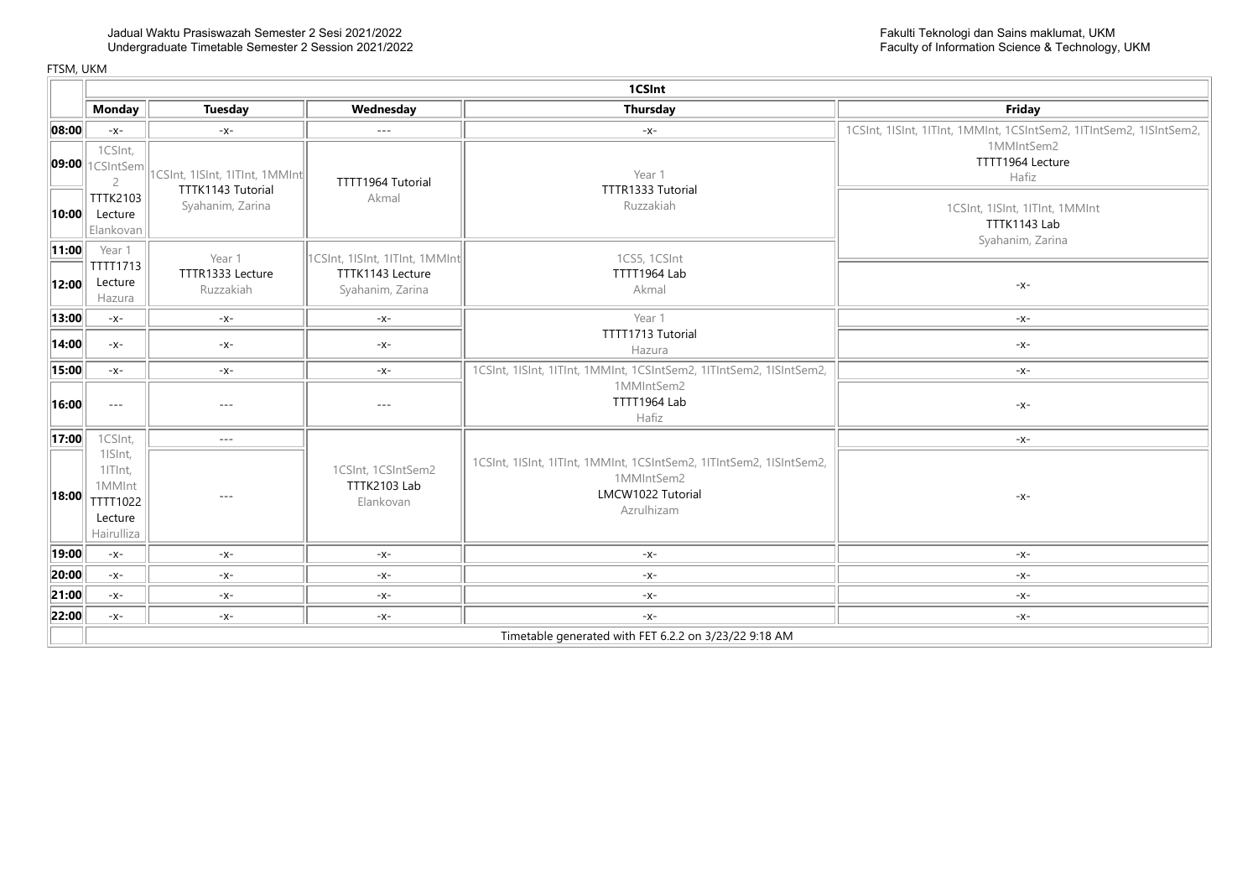|                       | 1CSInt                                                              |                                                     |                                                                        |                                                                                                                      |                                                                     |  |  |
|-----------------------|---------------------------------------------------------------------|-----------------------------------------------------|------------------------------------------------------------------------|----------------------------------------------------------------------------------------------------------------------|---------------------------------------------------------------------|--|--|
|                       | <b>Monday</b>                                                       | <b>Tuesday</b>                                      | Wednesday                                                              | Thursday                                                                                                             | Friday                                                              |  |  |
| $\vert$ 08:00 $\vert$ | $-X-$                                                               | $-X-$                                               | $\frac{1}{2}$                                                          | $-X-$                                                                                                                | 1CSInt, 1ISInt, 1ITInt, 1MMInt, 1CSIntSem2, 1ITIntSem2, 1ISIntSem2, |  |  |
|                       | 1CSInt,<br>$\vert$ 09:00 $\vert$ 1CSIntSem $\vert$<br>$\mathcal{P}$ | 1CSInt, 1ISInt, 1ITInt, 1MMInt<br>TTTK1143 Tutorial | TTTT1964 Tutorial                                                      | Year 1<br>TTTR1333 Tutorial                                                                                          | 1MMIntSem2<br>TTTT1964 Lecture<br>Hafiz                             |  |  |
|                       | <b>TTTK2103</b><br><b>10:00</b> Lecture<br>Elankovan                | Syahanim, Zarina                                    | Akmal                                                                  | Ruzzakiah                                                                                                            | 1CSInt, 1ISInt, 1ITInt, 1MMInt<br>TTTK1143 Lab<br>Syahanim, Zarina  |  |  |
| 11:00  <br> 12:00     | Year 1<br>TTTT1713<br>Lecture<br>Hazura                             | Year 1<br>TTTR1333 Lecture<br>Ruzzakiah             | 1CSInt, 1ISInt, 1ITInt, 1MMInt<br>TTTK1143 Lecture<br>Syahanim, Zarina | 1CS5, 1CSInt<br>TTTT1964 Lab<br>Akmal                                                                                | $-X-$                                                               |  |  |
| 13:00                 | $-X-$                                                               | $-x-$                                               | $-x-$                                                                  | Year 1                                                                                                               | $-X-$                                                               |  |  |
| 14:00                 | $-X-$                                                               | $-X-$                                               | $-X-$                                                                  | TTTT1713 Tutorial<br>Hazura                                                                                          | $-X-$                                                               |  |  |
| 15:00                 | $-X-$                                                               | $-X-$                                               | $-X-$                                                                  | 1CSInt, 1ISInt, 1ITInt, 1MMInt, 1CSIntSem2, 1ITIntSem2, 1ISIntSem2,                                                  | $-X-$                                                               |  |  |
| 16:00                 | $- - -$                                                             | $---$                                               | $---$                                                                  | 1MMIntSem2<br>TTTT1964 Lab<br>Hafiz                                                                                  | $-X-$                                                               |  |  |
| $\vert$ 17:00 $\vert$ | 1CSInt,                                                             | $- - -$                                             |                                                                        |                                                                                                                      | $-X-$                                                               |  |  |
| 18:00                 | 1ISInt,<br>1ITInt,<br>1MMInt<br>TTTT1022<br>Lecture<br>Hairulliza   | $---$                                               | 1CSInt, 1CSIntSem2<br>TTTK2103 Lab<br>Elankovan                        | 1CSInt, 1ISInt, 1ITInt, 1MMInt, 1CSIntSem2, 1ITIntSem2, 1ISIntSem2,<br>1MMIntSem2<br>LMCW1022 Tutorial<br>Azrulhizam | $-X-$                                                               |  |  |
| 19:00                 | $-X-$                                                               | $-X-$                                               | $-x-$                                                                  | $-x-$                                                                                                                | $-x-$                                                               |  |  |
| 20:00                 | $-X-$                                                               | $-X-$                                               | $-x-$                                                                  | $-x-$                                                                                                                | $-X-$                                                               |  |  |
| 21:00                 | $-X-$                                                               | $-X-$                                               | -X-                                                                    | $-x-$                                                                                                                | $-X-$                                                               |  |  |
| 22:00                 | $-X-$                                                               | $-X-$                                               | $-X-$                                                                  | $-x-$                                                                                                                | $-X-$                                                               |  |  |
|                       |                                                                     |                                                     |                                                                        | Timetable generated with FET 6.2.2 on 3/23/22 9:18 AM                                                                |                                                                     |  |  |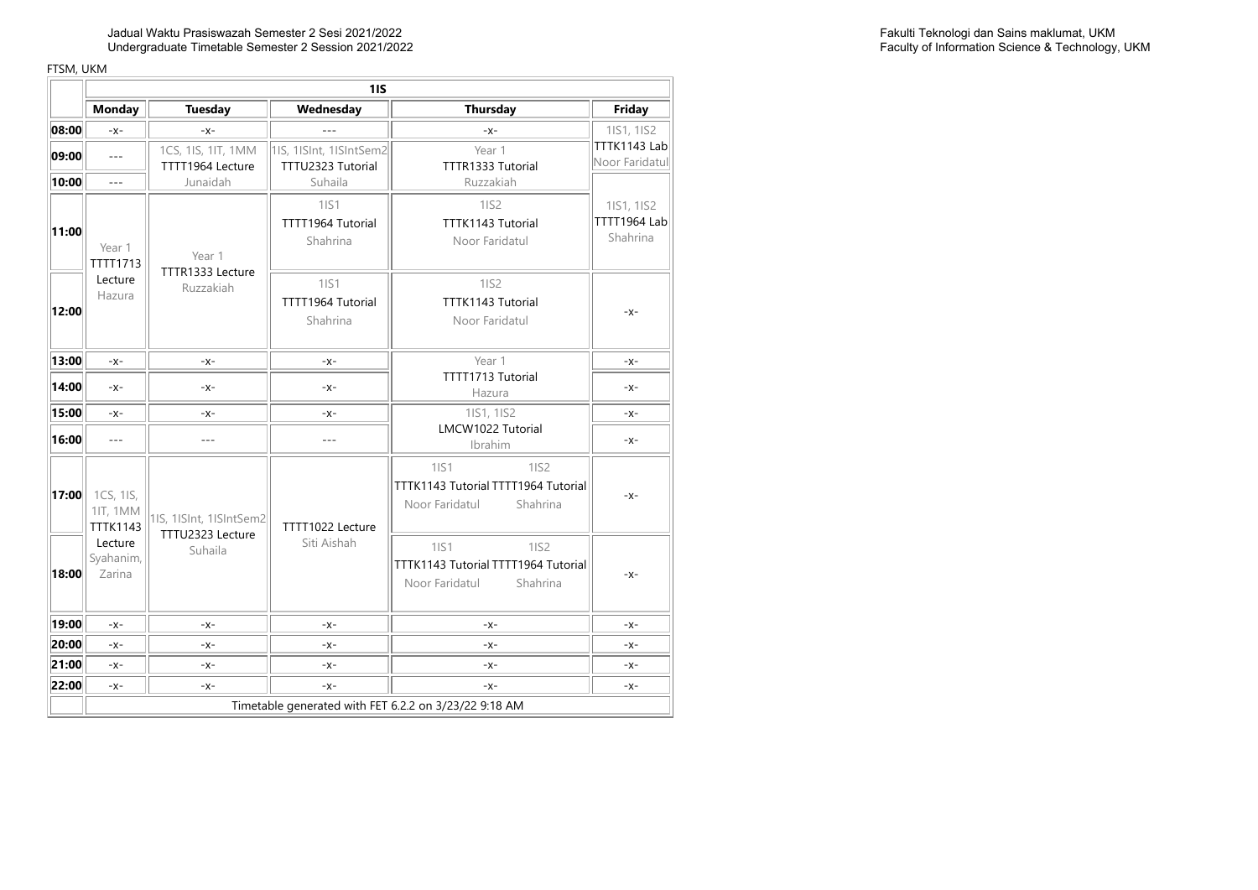Jadual Waktu Prasiswazah Semester 2 Sesi 2021/2022 Undergraduate Timetable Semester 2 Session 2021/2022

|       | 11S                                             |                             |                         |                                                                                          |                          |  |
|-------|-------------------------------------------------|-----------------------------|-------------------------|------------------------------------------------------------------------------------------|--------------------------|--|
|       | <b>Monday</b>                                   | <b>Tuesday</b>              | Wednesday               | <b>Thursday</b>                                                                          | Friday                   |  |
| 08:00 | $-X-$                                           | $-x$ -                      |                         | $-X -$                                                                                   | 1IS1, 1IS2               |  |
| 09:00 | $-$                                             | 1CS, 1IS, 1IT, 1MM          | 1IS, 1ISInt, 1ISIntSem2 | Year 1                                                                                   | TTTK1143 Lab             |  |
|       |                                                 | TTTT1964 Lecture            | TTTU2323 Tutorial       | TTTR1333 Tutorial                                                                        | Noor Faridatul           |  |
| 10:00 | $-$                                             | Junaidah                    | Suhaila                 | Ruzzakiah                                                                                |                          |  |
|       |                                                 |                             | 1IS1                    | 1IS2                                                                                     | 1IS1, 1IS2               |  |
| 11:00 |                                                 |                             | TTTT1964 Tutorial       | TTTK1143 Tutorial                                                                        | TTTT1964 Lab<br>Shahrina |  |
|       | Year 1                                          | Year 1                      | Shahrina                | Noor Faridatul                                                                           |                          |  |
|       | <b>TTTT1713</b>                                 | TTTR1333 Lecture            |                         |                                                                                          |                          |  |
|       | Lecture<br>Hazura                               | Ruzzakiah                   | 1IS1                    | 11S2                                                                                     |                          |  |
| 12:00 |                                                 |                             | TTTT1964 Tutorial       | TTTK1143 Tutorial                                                                        | $-X-$                    |  |
|       |                                                 |                             | Shahrina                | Noor Faridatul                                                                           |                          |  |
|       |                                                 |                             |                         |                                                                                          |                          |  |
| 13:00 | $-X-$                                           | $-X-$                       | $-X-$                   | Year 1                                                                                   | $-X-$                    |  |
| 14:00 | $-X-$                                           | $-X-$                       | $-X-$                   | TTTT1713 Tutorial<br>Hazura                                                              | $-X-$                    |  |
| 15:00 | $-X-$                                           | $-X-$                       | $-X-$                   | 1IS1, 1IS2                                                                               | $-X-$                    |  |
| 16:00 | $\overline{a}$                                  | $ -$                        | $-$                     | LMCW1022 Tutorial<br>Ibrahim                                                             | $-X-$                    |  |
| 17:00 | 1CS, 1IS,<br><b>1IT, 1MM</b><br><b>TTTK1143</b> | 1IS, 1ISInt, 1ISIntSem2     | TTTT1022 Lecture        | 1IS2<br><b>1IS1</b><br>TTTK1143 Tutorial TTTT1964 Tutorial<br>Noor Faridatul<br>Shahrina | $-X-$                    |  |
| 18:00 | Lecture<br>Syahanim,<br>Zarina                  | TTTU2323 Lecture<br>Suhaila | Siti Aishah             | 1IS1<br>1IS2<br>TTTK1143 Tutorial TTTT1964 Tutorial<br>Noor Faridatul<br>Shahrina        | -X-                      |  |
|       |                                                 |                             |                         |                                                                                          |                          |  |
| 19:00 | $-X-$                                           | $-X-$                       | $-X-$                   | $-X-$                                                                                    | $-X-$                    |  |
| 20:00 | $-X-$                                           | $-x$ -                      | $-x-$                   | $-X -$                                                                                   | $-X-$                    |  |
| 21:00 | $-X-$                                           | $-x$ -                      | $-X-$                   | $-X-$                                                                                    | $-X -$                   |  |
| 22:00 | $-X-$                                           | $-X-$                       | $-X-$                   | $-X-$                                                                                    | -X-                      |  |
|       |                                                 |                             |                         | Timetable generated with FET 6.2.2 on 3/23/22 9:18 AM                                    |                          |  |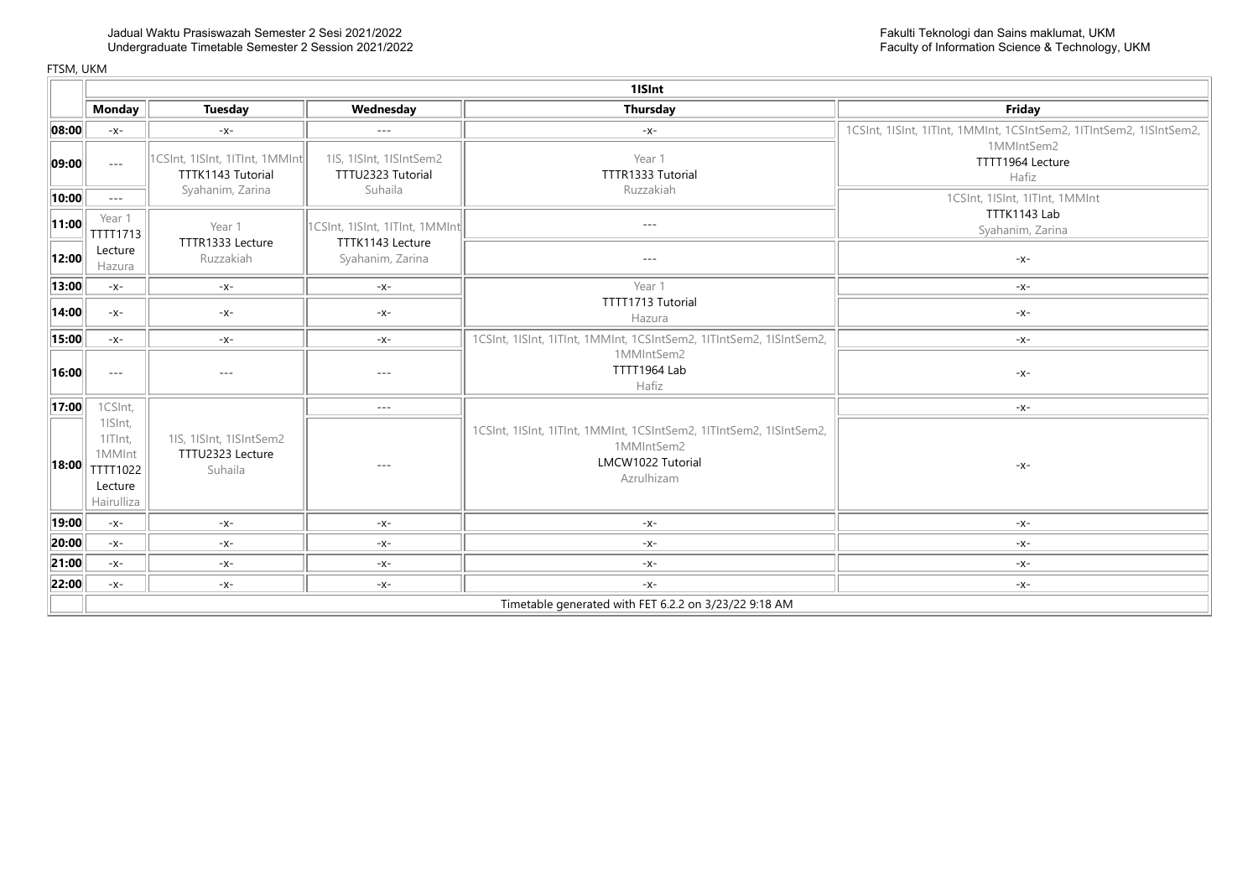|       |                                                                   | 1ISInt                                                 |                                                    |                                                                                                                      |                                                                     |  |  |
|-------|-------------------------------------------------------------------|--------------------------------------------------------|----------------------------------------------------|----------------------------------------------------------------------------------------------------------------------|---------------------------------------------------------------------|--|--|
|       | <b>Monday</b>                                                     | Tuesday                                                | Wednesday                                          | <b>Thursday</b>                                                                                                      | Friday                                                              |  |  |
| 08:00 | $-X-$                                                             | $-X-$                                                  | $---$                                              | $-x-$                                                                                                                | 1CSInt, 1ISInt, 1ITInt, 1MMInt, 1CSIntSem2, 1ITIntSem2, 1ISIntSem2, |  |  |
| 09:00 | $  -$                                                             | 1CSInt, 1ISInt, 1ITInt, 1MMInt<br>TTTK1143 Tutorial    | 1IS, 1ISInt, 1ISIntSem2<br>TTTU2323 Tutorial       | Year 1<br>TTTR1333 Tutorial                                                                                          | 1MMIntSem2<br>TTTT1964 Lecture<br>Hafiz                             |  |  |
| 10:00 | $\cdots$                                                          | Syahanim, Zarina                                       | Suhaila                                            | Ruzzakiah                                                                                                            | 1CSInt, 1ISInt, 1ITInt, 1MMInt                                      |  |  |
| 11:00 | Year 1<br>TTTT1713                                                | Year 1<br>TTTR1333 Lecture                             | 1CSInt, 1ISInt, 1ITInt, 1MMInt<br>TTTK1143 Lecture | $- - -$                                                                                                              | TTTK1143 Lab<br>Syahanim, Zarina                                    |  |  |
| 12:00 | Lecture<br>Hazura                                                 | Ruzzakiah                                              | Syahanim, Zarina                                   | $- - -$                                                                                                              | $-x-$                                                               |  |  |
| 13:00 | $-X-$                                                             | $-X-$                                                  | $-X-$                                              | Year 1                                                                                                               | $-X-$                                                               |  |  |
| 14:00 | $-X-$                                                             | $-X-$                                                  | $-X-$                                              | TTTT1713 Tutorial<br>Hazura                                                                                          | $-X-$                                                               |  |  |
| 15:00 | $-X-$                                                             | $-X-$                                                  | $-X-$                                              | 1CSInt, 1ISInt, 1ITInt, 1MMInt, 1CSIntSem2, 1ITIntSem2, 1ISIntSem2,                                                  | $-X-$                                                               |  |  |
| 16:00 | $- - -$                                                           | ---                                                    | $---$                                              | 1MMIntSem2<br>TTTT1964 Lab<br>Hafiz                                                                                  | $-X-$                                                               |  |  |
| 17:00 | 1CSInt,                                                           |                                                        | $- - -$                                            |                                                                                                                      | $-X-$                                                               |  |  |
| 18:00 | 1ISInt,<br>1ITInt,<br>1MMInt<br>TTTT1022<br>Lecture<br>Hairulliza | 1IS, 1ISInt, 1ISIntSem2<br>TTTU2323 Lecture<br>Suhaila | $---$                                              | 1CSInt, 1ISInt, 1ITInt, 1MMInt, 1CSIntSem2, 1ITIntSem2, 1ISIntSem2,<br>1MMIntSem2<br>LMCW1022 Tutorial<br>Azrulhizam | $-X-$                                                               |  |  |
| 19:00 | $-X-$                                                             | $-X-$                                                  | $-X-$                                              | $-X-$                                                                                                                | $-X-$                                                               |  |  |
| 20:00 | $-x-$                                                             | $-X-$                                                  | $-x-$                                              | $-X-$                                                                                                                | $-X-$                                                               |  |  |
| 21:00 | $-X-$                                                             | $-X-$                                                  | $-X-$                                              | $-x-$                                                                                                                | $-X-$                                                               |  |  |
| 22:00 | $-X-$                                                             | $-X-$                                                  | $-X-$                                              | $-X-$                                                                                                                | $-X-$                                                               |  |  |
|       |                                                                   |                                                        |                                                    | Timetable generated with FET 6.2.2 on 3/23/22 9:18 AM                                                                |                                                                     |  |  |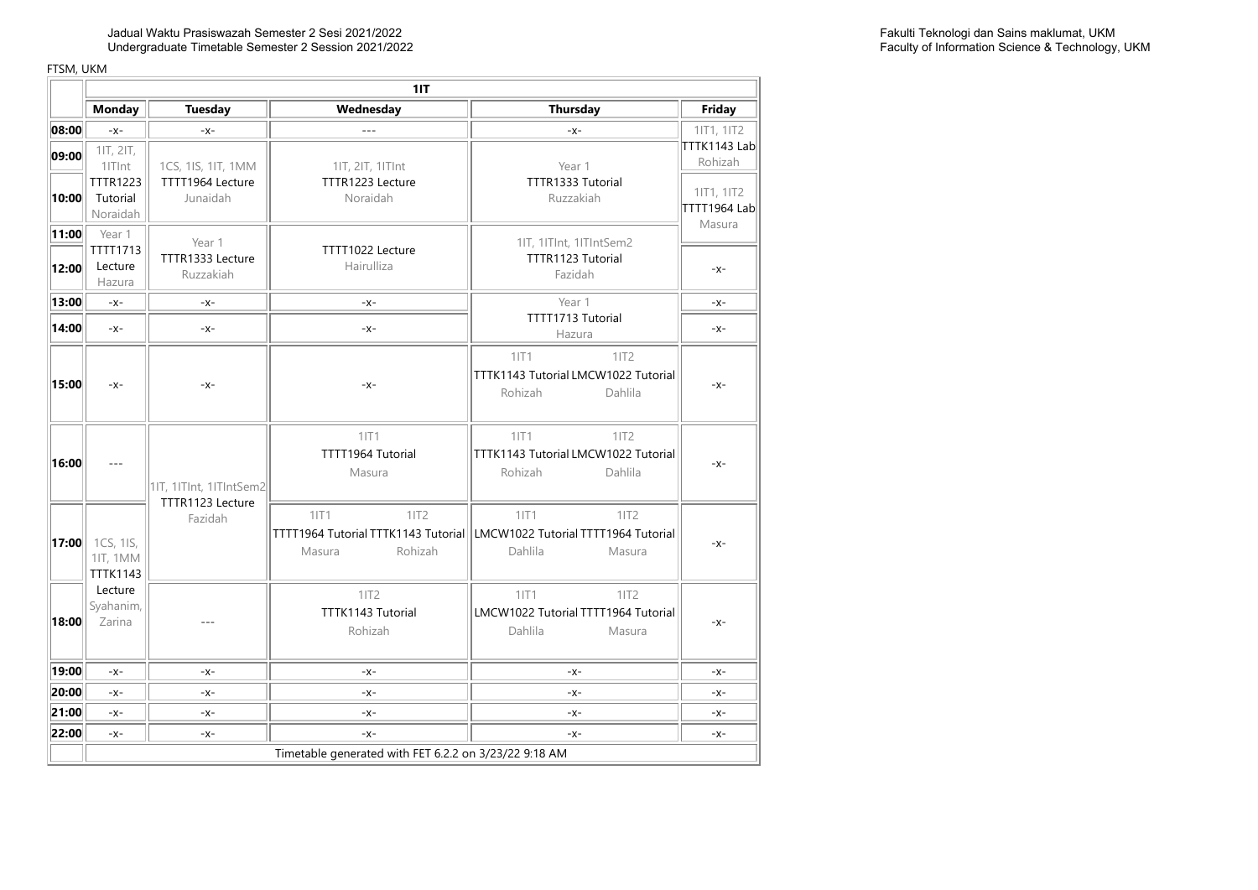| 11T                           |                                      |                                                                                                              |                                                       |  |  |  |
|-------------------------------|--------------------------------------|--------------------------------------------------------------------------------------------------------------|-------------------------------------------------------|--|--|--|
| <b>Tuesday</b>                | Wednesday                            | <b>Thursday</b>                                                                                              | Friday                                                |  |  |  |
| $-X-$                         | $- - -$                              | $-X-$                                                                                                        | 11T1, 11T2                                            |  |  |  |
| 1CS, 1IS, 1IT, 1MM            | 11T, 21T, 11TInt                     | Year 1                                                                                                       | TTTK1143 Lab<br>Rohizah                               |  |  |  |
| TTTT1964 Lecture<br>Junaidah  | TTTR1223 Lecture<br>Noraidah         | TTTR1333 Tutorial<br>Ruzzakiah                                                                               | 11T1, 11T2<br>TTTT1964 Lab<br>Masura                  |  |  |  |
| Year 1                        |                                      | 1IT, 1ITInt, 1ITIntSem2                                                                                      |                                                       |  |  |  |
| TTTR1333 Lecture<br>Ruzzakiah | TTTT1022 Lecture<br>Hairulliza       | TTTR1123 Tutorial<br>Fazidah                                                                                 | $-X-$                                                 |  |  |  |
| -x-                           | $-X-$                                | Year 1                                                                                                       | $-X-$                                                 |  |  |  |
| $-X-$                         | $-X-$                                | TTTT1713 Tutorial<br>Hazura                                                                                  | $-X-$                                                 |  |  |  |
| $-X-$                         | $-X-$                                | 11T1<br>11T2<br>TTTK1143 Tutorial LMCW1022 Tutorial<br>Rohizah<br>Dahlila                                    | $-X-$                                                 |  |  |  |
| 1IT, 1ITInt, 1ITIntSem2       | 11T1<br>TTTT1964 Tutorial<br>Masura  | 1 T1<br>11T2<br>TTTK1143 Tutorial LMCW1022 Tutorial<br>Rohizah<br>Dahlila                                    | $-X-$                                                 |  |  |  |
| TTTR1123 Lecture<br>Fazidah   | 11T1<br>11T2<br>Rohizah<br>Masura    | 1 T1<br>1IT2<br>TTTT1964 Tutorial TTTK1143 Tutorial LMCW1022 Tutorial TTTT1964 Tutorial<br>Dahlila<br>Masura | $-X-$                                                 |  |  |  |
| $---$                         | 11T2<br>TTTK1143 Tutorial<br>Rohizah | 11T1<br>1IT2<br>LMCW1022 Tutorial TTTT1964 Tutorial<br>Dahlila<br>Masura                                     | $-X-$                                                 |  |  |  |
| $-x-$                         | $-X -$                               | $-X-$                                                                                                        | $-X-$                                                 |  |  |  |
| $-X-$                         | $-X-$                                | $-X-$                                                                                                        | $-X-$                                                 |  |  |  |
| $-X-$                         | $-X-$                                | $-x-$                                                                                                        | $-X-$                                                 |  |  |  |
| -x-                           | $-X -$                               | $-X -$                                                                                                       | $-X-$                                                 |  |  |  |
|                               |                                      |                                                                                                              | Timetable generated with FET 6.2.2 on 3/23/22 9:18 AM |  |  |  |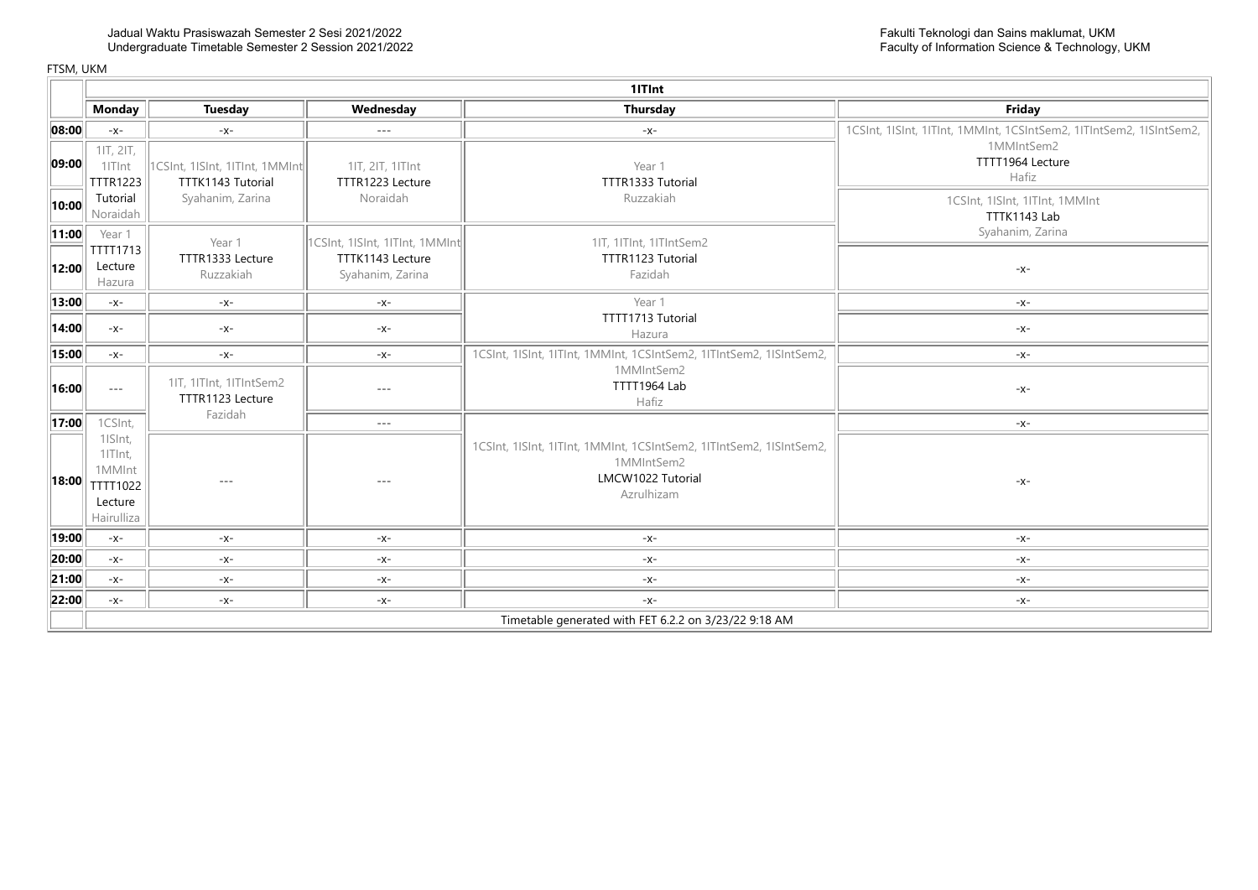|             |                                                                   | 1ITInt                                                 |                                      |                                                                                                                      |                                                                     |  |  |  |
|-------------|-------------------------------------------------------------------|--------------------------------------------------------|--------------------------------------|----------------------------------------------------------------------------------------------------------------------|---------------------------------------------------------------------|--|--|--|
|             | <b>Monday</b>                                                     | Tuesday                                                | Wednesday                            | <b>Thursday</b>                                                                                                      | Friday                                                              |  |  |  |
| 08:00       | $-X-$                                                             | $-x$ -                                                 | $\cdots$                             | $-X-$                                                                                                                | 1CSInt, 1ISInt, 1ITInt, 1MMInt, 1CSIntSem2, 1ITIntSem2, 1ISIntSem2, |  |  |  |
| 09:00       | 1IT, 2IT,<br>1ITInt<br><b>TTTR1223</b>                            | 1CSInt, 1ISInt, 1ITInt, 1MMInt<br>TTTK1143 Tutorial    | 11T, 21T, 11TInt<br>TTTR1223 Lecture | Year 1<br>TTTR1333 Tutorial                                                                                          | 1MMIntSem2<br>TTTT1964 Lecture<br>Hafiz                             |  |  |  |
| 10:00       | Tutorial<br>Noraidah                                              | Syahanim, Zarina                                       | Noraidah                             | Ruzzakiah                                                                                                            | 1CSInt, 1ISInt, 1ITInt, 1MMInt<br>TTTK1143 Lab                      |  |  |  |
| $\ 11:00\ $ | Year 1<br>TTTT1713                                                | Year 1                                                 | 1CSInt, 1ISInt, 1ITInt, 1MMInt       | 1IT, 1ITInt, 1ITIntSem2                                                                                              | Syahanim, Zarina                                                    |  |  |  |
| 12:00       | Lecture<br>Hazura                                                 | TTTR1333 Lecture<br>Ruzzakiah                          | TTTK1143 Lecture<br>Syahanim, Zarina | TTTR1123 Tutorial<br>Fazidah                                                                                         | $-X-$                                                               |  |  |  |
| 13:00       | $-X-$                                                             | $-X-$                                                  | $-x-$                                | Year 1                                                                                                               | $-X-$                                                               |  |  |  |
| 14:00       | $-X-$                                                             | $-X-$                                                  | -x-                                  | TTTT1713 Tutorial<br>Hazura                                                                                          | $-X-$                                                               |  |  |  |
| 15:00       | $-X-$                                                             | $-X-$                                                  | $-x-$                                | 1CSInt, 1ISInt, 1ITInt, 1MMInt, 1CSIntSem2, 1ITIntSem2, 1ISIntSem2,                                                  | $-X-$                                                               |  |  |  |
| 16:00       | $- - -$                                                           | 1IT, 1ITInt, 1ITIntSem2<br>TTTR1123 Lecture<br>Fazidah | $---$                                | 1MMIntSem2<br>TTTT1964 Lab<br>Hafiz                                                                                  | $-X-$                                                               |  |  |  |
| 17:00       | 1CSInt,                                                           |                                                        | $- - -$                              |                                                                                                                      | $-X-$                                                               |  |  |  |
| 18:00       | 1ISInt,<br>1ITInt,<br>1MMInt<br>TTTT1022<br>Lecture<br>Hairulliza | $- - -$                                                | $- - -$                              | 1CSInt, 1ISInt, 1ITInt, 1MMInt, 1CSIntSem2, 1ITIntSem2, 1ISIntSem2,<br>1MMIntSem2<br>LMCW1022 Tutorial<br>Azrulhizam | $-X-$                                                               |  |  |  |
| 19:00       | $-X-$                                                             | $-X-$                                                  | $-x-$                                | $-X-$                                                                                                                | $-X-$                                                               |  |  |  |
| 20:00       | $-x-$                                                             | $-X-$                                                  | $-x-$                                | $-X-$                                                                                                                | $-X-$                                                               |  |  |  |
| 21:00       | $-X-$                                                             | $-X-$                                                  | $-x-$                                | $-x-$                                                                                                                | $-x-$                                                               |  |  |  |
| 22:00       | $-X-$                                                             | $-X-$                                                  | $-X-$                                | $-X-$                                                                                                                | $-x-$                                                               |  |  |  |
|             |                                                                   |                                                        |                                      | Timetable generated with FET 6.2.2 on 3/23/22 9:18 AM                                                                |                                                                     |  |  |  |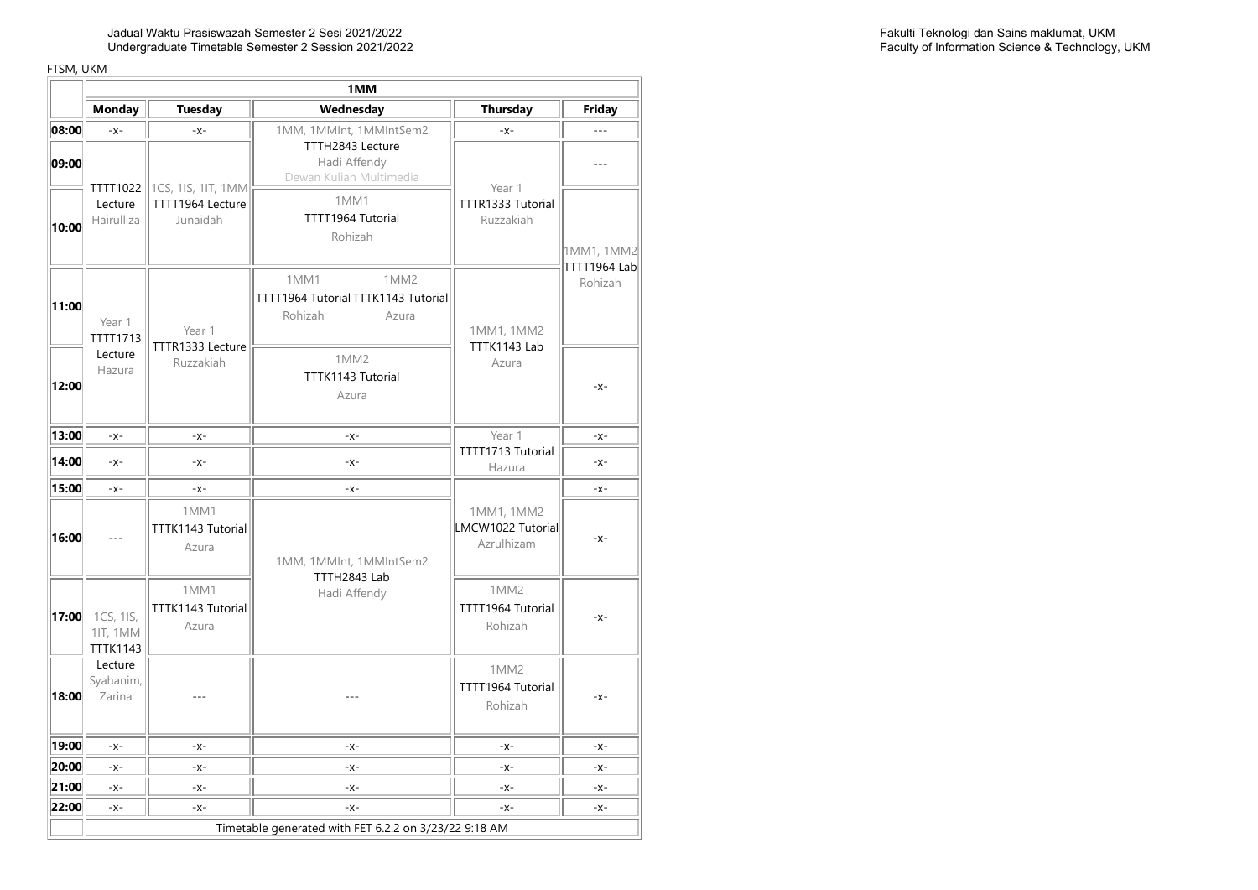Jadual Waktu Prasiswazah Semester 2 Sesi 2021/2022 Undergraduate Timetable Semester 2 Session 2021/2022

|                | 1MM                                                   |                                                    |                                                                                                     |                                                  |                                     |  |  |
|----------------|-------------------------------------------------------|----------------------------------------------------|-----------------------------------------------------------------------------------------------------|--------------------------------------------------|-------------------------------------|--|--|
|                | <b>Monday</b>                                         | <b>Tuesday</b>                                     | Wednesday                                                                                           | <b>Thursday</b>                                  | Friday                              |  |  |
| 08:00          | $-x-$                                                 | $-X-$                                              | 1MM, 1MMInt, 1MMIntSem2                                                                             | $-X-$                                            | $- - -$                             |  |  |
| 09:00<br>10:00 | TTTT1022<br>Lecture<br>Hairulliza                     | 1CS, 1IS, 1IT, 1MM<br>TTTT1964 Lecture<br>Junaidah | TTTH2843 Lecture<br>Hadi Affendy<br>Dewan Kuliah Multimedia<br>1MM1<br>TTTT1964 Tutorial<br>Rohizah | Year 1<br>TTTR1333 Tutorial<br>Ruzzakiah         | $---$<br>1MM1, 1MM2<br>TTTT1964 Lab |  |  |
| 11:00          | Year 1<br>TTTT1713                                    | Year 1<br>TTTR1333 Lecture                         | 1MM1<br>1MM <sub>2</sub><br>TTTT1964 Tutorial TTTK1143 Tutorial<br>Rohizah<br>Azura                 | 1MM1, 1MM2<br>TTTK1143 Lab                       | Rohizah                             |  |  |
| 12:00          | Lecture<br>Hazura                                     | Ruzzakiah                                          | 1MM <sub>2</sub><br>TTTK1143 Tutorial<br>Azura                                                      | Azura                                            | $-X-$                               |  |  |
| 13:00          | $-x-$                                                 | $-X-$                                              | $-x-$                                                                                               | Year 1                                           | $-X-$                               |  |  |
| 14:00          | $-x$ -                                                | $-x-$                                              | $-x$ -                                                                                              | TTTT1713 Tutorial<br>Hazura                      | $-x-$                               |  |  |
| 15:00          | $-X-$                                                 | $-X-$                                              | $-x-$                                                                                               |                                                  | $-X-$                               |  |  |
| 16:00          | ---                                                   | 1MM1<br>TTTK1143 Tutorial<br>Azura                 | 1MM, 1MMInt, 1MMIntSem2                                                                             | 1MM1, 1MM2<br>LMCW1022 Tutorial<br>Azrulhizam    | $-X-$                               |  |  |
| 17:00          | 1CS, 1IS,<br>11T, 1MM<br><b>TTTK1143</b>              | 1MM1<br>TTTK1143 Tutorial<br>Azura                 | TTTH2843 Lab<br>Hadi Affendy                                                                        | 1MM <sub>2</sub><br>TTTT1964 Tutorial<br>Rohizah | $-X -$                              |  |  |
| 18:00          | Lecture<br>Syahanim,<br>Zarina                        |                                                    |                                                                                                     | 1MM <sub>2</sub><br>TTTT1964 Tutorial<br>Rohizah | $-X-$                               |  |  |
| 19:00          | $-x$ -                                                | $-x-$                                              | $-x$ -                                                                                              | $-x-$                                            | $-X -$                              |  |  |
| 20:00          | $-X-$                                                 | $-X-$                                              | $-x-$                                                                                               | $-x-$                                            | $-X-$                               |  |  |
| 21:00          | $-X-$                                                 | $-X-$                                              | $-x-$                                                                                               | $-x-$                                            | $-X-$                               |  |  |
| 22:00          | $-x$ -                                                | $-x-$                                              | $-x$ -                                                                                              | $-x-$                                            | $-X-$                               |  |  |
|                | Timetable generated with FET 6.2.2 on 3/23/22 9:18 AM |                                                    |                                                                                                     |                                                  |                                     |  |  |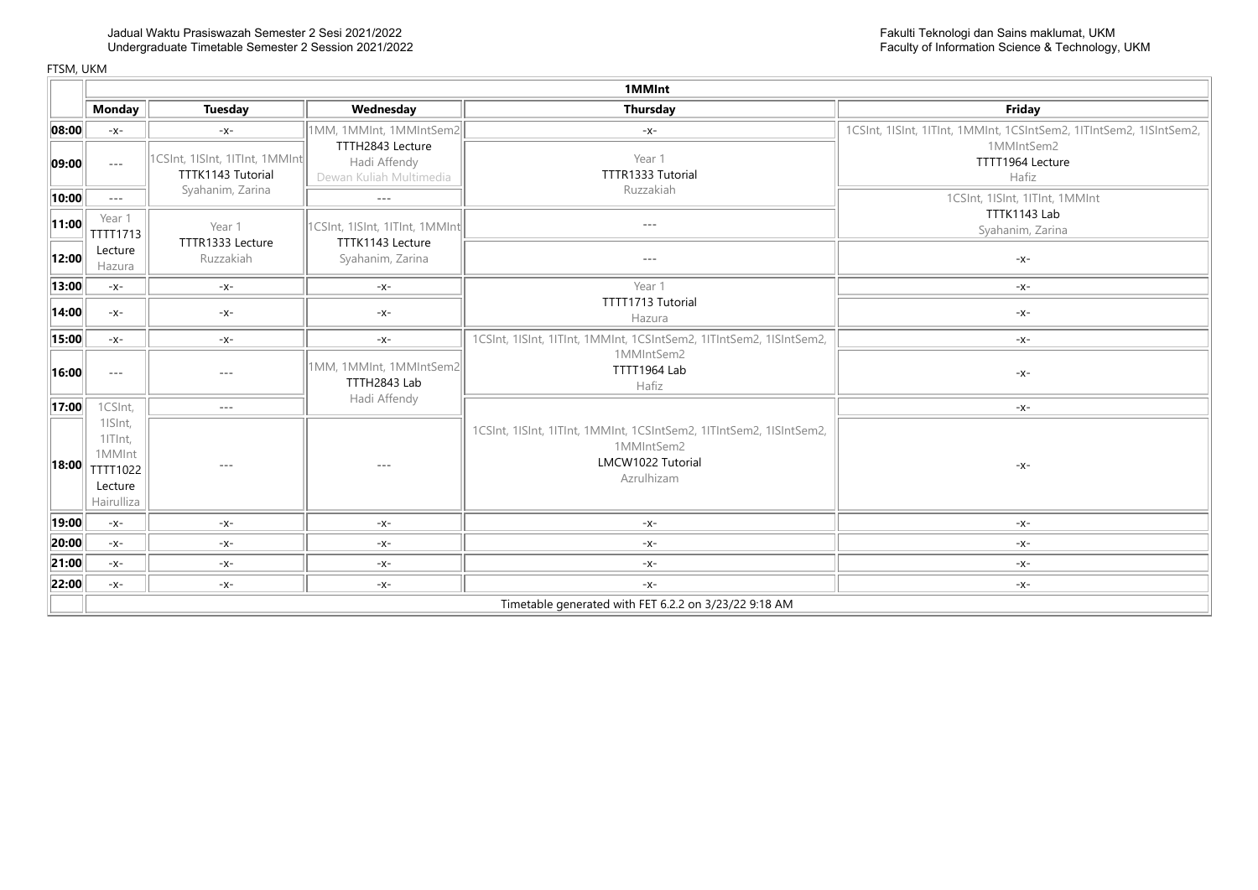|                       |                                                                   | 1MMInt                                              |                                                                                                                                                                                                                                                                                                                                                                                              |                                                                                                                      |                                                                     |  |  |
|-----------------------|-------------------------------------------------------------------|-----------------------------------------------------|----------------------------------------------------------------------------------------------------------------------------------------------------------------------------------------------------------------------------------------------------------------------------------------------------------------------------------------------------------------------------------------------|----------------------------------------------------------------------------------------------------------------------|---------------------------------------------------------------------|--|--|
|                       | <b>Monday</b>                                                     | <b>Tuesday</b>                                      | Wednesday                                                                                                                                                                                                                                                                                                                                                                                    | <b>Thursday</b>                                                                                                      | Friday                                                              |  |  |
| 08:00                 | $-X-$                                                             | $-X-$                                               | 1MM, 1MMInt, 1MMIntSem2                                                                                                                                                                                                                                                                                                                                                                      | $-X-$                                                                                                                | 1CSInt, 1ISInt, 1ITInt, 1MMInt, 1CSIntSem2, 1ITIntSem2, 1ISIntSem2, |  |  |
| $\vert$ 09:00 $\vert$ | $- - -$                                                           | 1CSInt, 1ISInt, 1ITInt, 1MMInt<br>TTTK1143 Tutorial | TTTH2843 Lecture<br>Hadi Affendy<br>Dewan Kuliah Multimedia                                                                                                                                                                                                                                                                                                                                  | Year 1<br>TTTR1333 Tutorial                                                                                          | 1MMIntSem2<br>TTTT1964 Lecture<br>Hafiz                             |  |  |
| 10:00                 | $- - -$                                                           | Syahanim, Zarina                                    | $\frac{1}{2} \frac{1}{2} \frac{1}{2} \frac{1}{2} \frac{1}{2} \frac{1}{2} \frac{1}{2} \frac{1}{2} \frac{1}{2} \frac{1}{2} \frac{1}{2} \frac{1}{2} \frac{1}{2} \frac{1}{2} \frac{1}{2} \frac{1}{2} \frac{1}{2} \frac{1}{2} \frac{1}{2} \frac{1}{2} \frac{1}{2} \frac{1}{2} \frac{1}{2} \frac{1}{2} \frac{1}{2} \frac{1}{2} \frac{1}{2} \frac{1}{2} \frac{1}{2} \frac{1}{2} \frac{1}{2} \frac{$ | Ruzzakiah                                                                                                            | 1CSInt, 1ISInt, 1ITInt, 1MMInt                                      |  |  |
| 11:00                 | Year 1<br>TTTT1713                                                | Year 1<br>TTTR1333 Lecture                          | 1CSInt, 1ISInt, 1ITInt, 1MMInt<br>TTTK1143 Lecture                                                                                                                                                                                                                                                                                                                                           | $---$                                                                                                                | TTTK1143 Lab<br>Syahanim, Zarina                                    |  |  |
| 12:00                 | Lecture<br>Hazura                                                 | Ruzzakiah                                           | Syahanim, Zarina                                                                                                                                                                                                                                                                                                                                                                             | $- - -$                                                                                                              | $-X-$                                                               |  |  |
| 13:00                 | $-X-$                                                             | $-X-$                                               | $-x-$                                                                                                                                                                                                                                                                                                                                                                                        | Year 1                                                                                                               | $-X-$                                                               |  |  |
| 14:00                 | $-X-$                                                             | $-X-$                                               | $-X-$                                                                                                                                                                                                                                                                                                                                                                                        | TTTT1713 Tutorial<br>Hazura                                                                                          | $-X-$                                                               |  |  |
| 15:00                 | $-X-$                                                             | -x-                                                 | $-X-$                                                                                                                                                                                                                                                                                                                                                                                        | 1CSInt, 1ISInt, 1ITInt, 1MMInt, 1CSIntSem2, 1ITIntSem2, 1ISIntSem2,                                                  | $-X-$                                                               |  |  |
| 16:00                 | $- - -$                                                           | $- - -$                                             | 1MM, 1MMInt, 1MMIntSem2<br>TTTH2843 Lab                                                                                                                                                                                                                                                                                                                                                      | 1MMIntSem2<br>TTTT1964 Lab<br>Hafiz                                                                                  | $-x-$                                                               |  |  |
| 17:00                 | 1CSInt,                                                           | $- - -$                                             | Hadi Affendy                                                                                                                                                                                                                                                                                                                                                                                 |                                                                                                                      | $-x-$                                                               |  |  |
| 18:00                 | 1ISInt,<br>1ITInt,<br>1MMInt<br>TTTT1022<br>Lecture<br>Hairulliza | $- - -$                                             |                                                                                                                                                                                                                                                                                                                                                                                              | 1CSInt, 1ISInt, 1ITInt, 1MMInt, 1CSIntSem2, 1ITIntSem2, 1ISIntSem2,<br>1MMIntSem2<br>LMCW1022 Tutorial<br>Azrulhizam | $-X-$                                                               |  |  |
| 19:00                 | $-X-$                                                             | $-X-$                                               | $-x-$                                                                                                                                                                                                                                                                                                                                                                                        | $-X-$                                                                                                                | $-X-$                                                               |  |  |
| 20:00                 | $-X-$                                                             | $-X-$                                               | $-x-$                                                                                                                                                                                                                                                                                                                                                                                        | $-x-$                                                                                                                | $-x-$                                                               |  |  |
| 21:00                 | $-X-$                                                             | $-x-$                                               | $-x-$                                                                                                                                                                                                                                                                                                                                                                                        | $-x-$                                                                                                                | $-x-$                                                               |  |  |
| 22:00                 | $-X-$                                                             | $-X-$                                               | $-x-$                                                                                                                                                                                                                                                                                                                                                                                        | $-x-$                                                                                                                | $-X-$                                                               |  |  |
|                       |                                                                   |                                                     |                                                                                                                                                                                                                                                                                                                                                                                              | Timetable generated with FET 6.2.2 on 3/23/22 9:18 AM                                                                |                                                                     |  |  |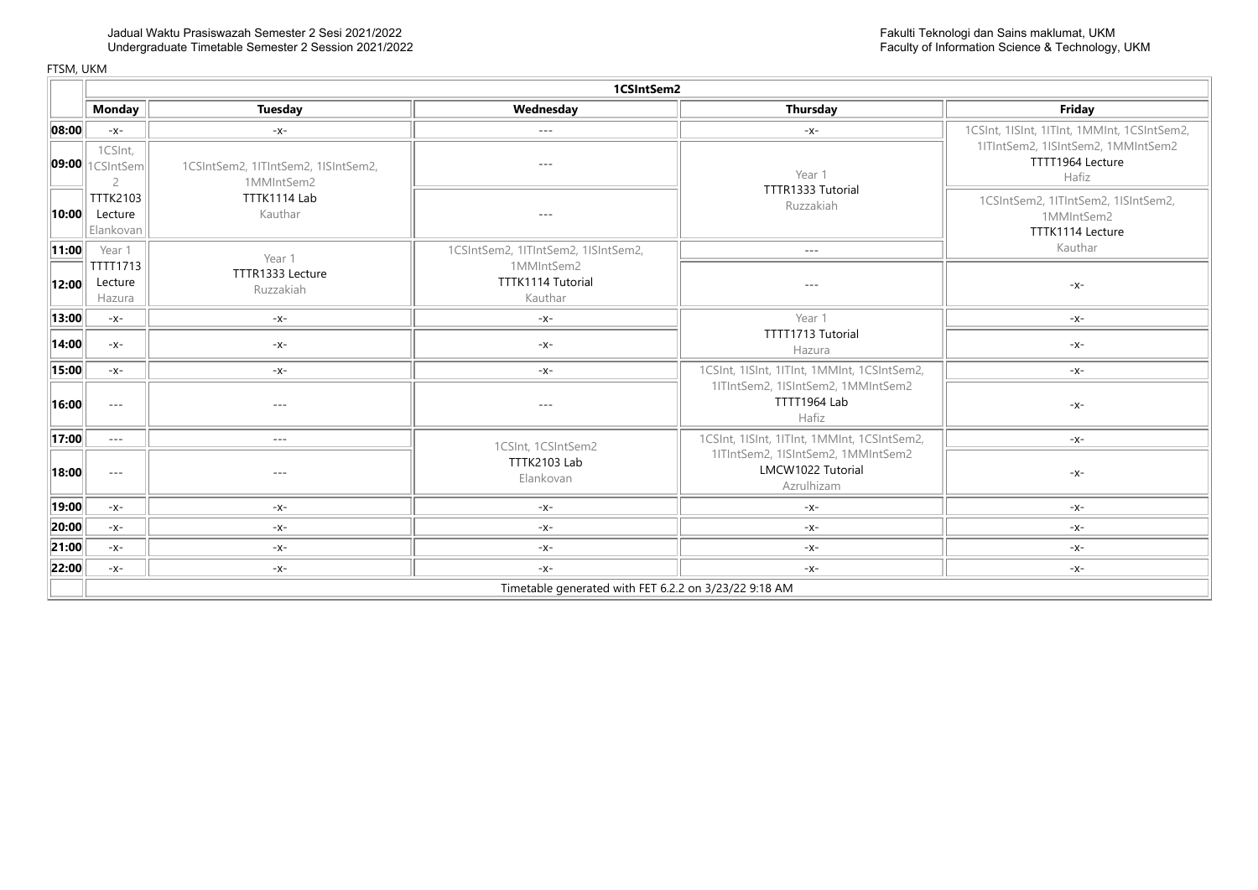|       | 1CSIntSem2                              |                                                       |                                            |                                                                       |                                                                       |  |  |  |  |
|-------|-----------------------------------------|-------------------------------------------------------|--------------------------------------------|-----------------------------------------------------------------------|-----------------------------------------------------------------------|--|--|--|--|
|       | <b>Monday</b>                           | <b>Tuesday</b>                                        | Wednesday                                  | Thursday                                                              | Friday                                                                |  |  |  |  |
| 08:00 | $-X-$                                   | $-X-$                                                 | $- - -$                                    | $-x-$                                                                 | 1CSInt, 1ISInt, 1ITInt, 1MMInt, 1CSIntSem2,                           |  |  |  |  |
|       | 1CSInt,<br><b>09:00</b> 1 (SIntSem      | 1CSIntSem2, 1ITIntSem2, 1ISIntSem2,<br>1MMIntSem2     | $---$                                      | Year 1                                                                | 1ITIntSem2, 1ISIntSem2, 1MMIntSem2<br>TTTT1964 Lecture<br>Hafiz       |  |  |  |  |
| 10:00 | <b>TTTK2103</b><br>Lecture<br>Elankovan | TTTK1114 Lab<br>Kauthar                               | $- - -$                                    | TTTR1333 Tutorial<br>Ruzzakiah                                        | 1CSIntSem2, 1ITIntSem2, 1ISIntSem2,<br>1MMIntSem2<br>TTTK1114 Lecture |  |  |  |  |
| 11:00 | Year 1                                  | Year 1                                                | 1CSIntSem2, 1ITIntSem2, 1ISIntSem2,        | $\sim$ $\sim$ $\sim$                                                  | Kauthar                                                               |  |  |  |  |
| 12:00 | TTTT1713<br>Lecture<br>Hazura           | TTTR1333 Lecture<br>Ruzzakiah                         | 1MMIntSem2<br>TTTK1114 Tutorial<br>Kauthar | $---$                                                                 | $-X-$                                                                 |  |  |  |  |
| 13:00 | $-X-$                                   | $-x-$                                                 | $-X-$                                      | Year 1                                                                | $-X-$                                                                 |  |  |  |  |
| 14:00 | $-X-$                                   | $-x-$                                                 | $-X-$                                      | TTTT1713 Tutorial<br>Hazura                                           | $-X-$                                                                 |  |  |  |  |
| 15:00 | $-X-$                                   | $-x-$                                                 | $-X-$                                      | 1CSInt, 1ISInt, 1ITInt, 1MMInt, 1CSIntSem2,                           | $-X-$                                                                 |  |  |  |  |
| 16:00 | $- - -$                                 | $- - -$                                               | $- - -$                                    | 1ITIntSem2, 1ISIntSem2, 1MMIntSem2<br>TTTT1964 Lab<br>Hafiz           | $-X-$                                                                 |  |  |  |  |
| 17:00 | $\sim$ $\sim$ $\sim$                    | $\cdots$                                              | 1CSInt, 1CSIntSem2                         | 1CSInt, 1ISInt, 1ITInt, 1MMInt, 1CSIntSem2,                           | $-X-$                                                                 |  |  |  |  |
| 18:00 | $- - -$                                 | $- - -$                                               | TTTK2103 Lab<br>Elankovan                  | 1ITIntSem2, 1ISIntSem2, 1MMIntSem2<br>LMCW1022 Tutorial<br>Azrulhizam | $-X-$                                                                 |  |  |  |  |
| 19:00 | $-X-$                                   | $-x-$                                                 | $-x-$                                      | $-X-$                                                                 | $-X-$                                                                 |  |  |  |  |
| 20:00 | $-X-$                                   | $-x-$                                                 | $-x-$                                      | $-X-$                                                                 | $-X-$                                                                 |  |  |  |  |
| 21:00 | $-x-$                                   | $-x-$                                                 | $-x-$                                      | $-X-$                                                                 | -x-                                                                   |  |  |  |  |
| 22:00 | $-X-$                                   | $-x-$                                                 | $-x-$                                      | $-X-$                                                                 | -x-                                                                   |  |  |  |  |
|       |                                         | Timetable generated with FET 6.2.2 on 3/23/22 9:18 AM |                                            |                                                                       |                                                                       |  |  |  |  |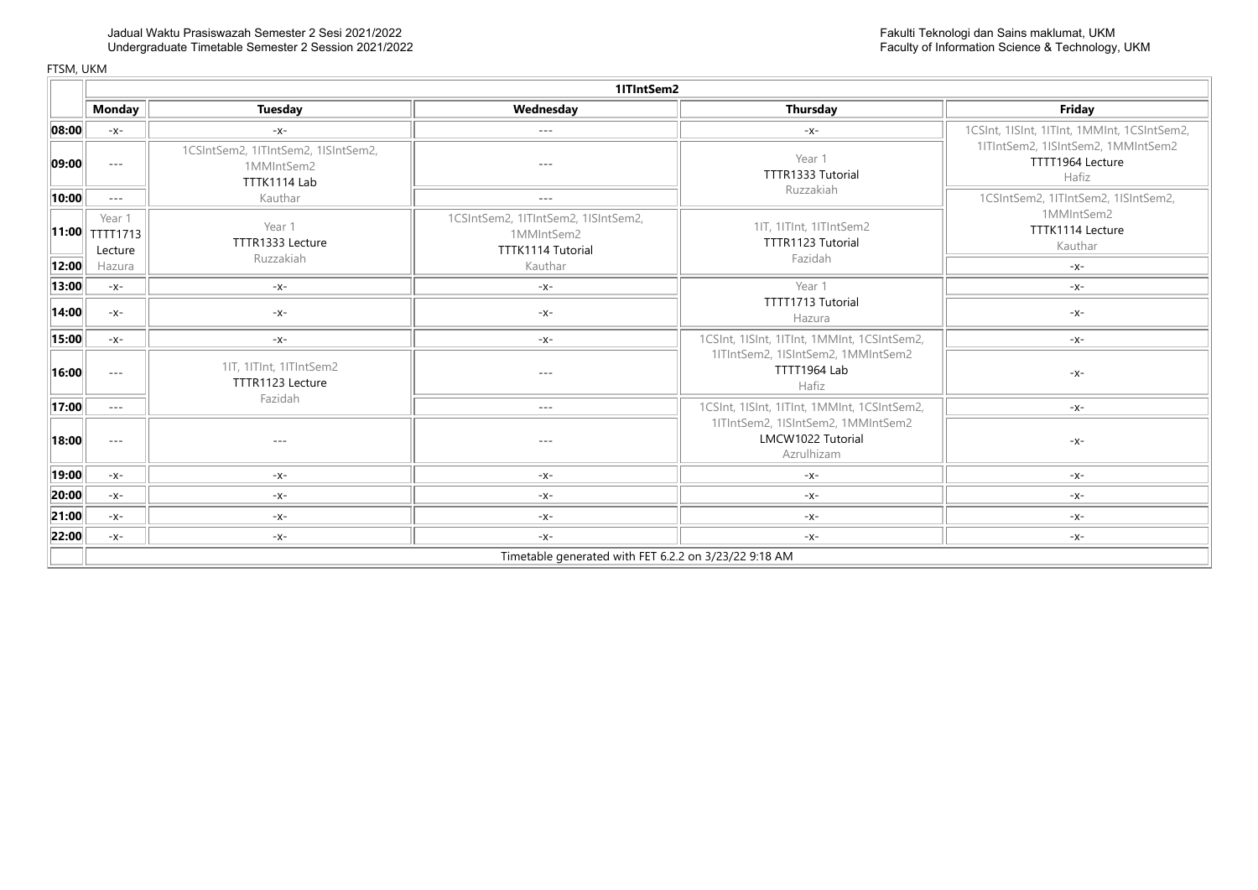|                       | 11TIntSem2                                          |                                                                   |                                                                                   |                                                                       |                                                                 |  |  |
|-----------------------|-----------------------------------------------------|-------------------------------------------------------------------|-----------------------------------------------------------------------------------|-----------------------------------------------------------------------|-----------------------------------------------------------------|--|--|
|                       | Monday                                              | <b>Tuesday</b>                                                    | Wednesday                                                                         | Thursday                                                              | Friday                                                          |  |  |
| 08:00                 | $-x-$                                               | $-X-$                                                             | $- - -$                                                                           | $-X-$                                                                 | 1CSInt, 1ISInt, 1ITInt, 1MMInt, 1CSIntSem2,                     |  |  |
| 09:00                 | $\qquad \qquad - -$                                 | 1CSIntSem2, 1ITIntSem2, 1ISIntSem2,<br>1MMIntSem2<br>TTTK1114 Lab | $- - -$                                                                           | Year 1<br>TTTR1333 Tutorial                                           | 1ITIntSem2, 1ISIntSem2, 1MMIntSem2<br>TTTT1964 Lecture<br>Hafiz |  |  |
| 10:00                 | $\cdots$                                            | Kauthar                                                           | $---$                                                                             | Ruzzakiah                                                             | 1CSIntSem2, 1ITIntSem2, 1ISIntSem2,                             |  |  |
| 12:00                 | Year 1<br>$  11:00  $ TTTT1713<br>Lecture<br>Hazura | Year 1<br>TTTR1333 Lecture<br>Ruzzakiah                           | 1CSIntSem2, 1ITIntSem2, 1ISIntSem2,<br>1MMIntSem2<br>TTTK1114 Tutorial<br>Kauthar | 1IT, 1ITInt, 1ITIntSem2<br>TTTR1123 Tutorial<br>Fazidah               | 1MMIntSem2<br>TTTK1114 Lecture<br>Kauthar<br>$-x-$              |  |  |
| 13:00                 | $-X-$                                               | $-X-$                                                             | $-X-$                                                                             | Year 1                                                                | -x-                                                             |  |  |
| 14:00                 | $-X-$                                               | $-X-$                                                             | $-X-$                                                                             | TTTT1713 Tutorial<br>Hazura                                           | $-X-$                                                           |  |  |
| 15:00                 | $-X-$                                               | $-X-$                                                             | $-X-$                                                                             | 1CSInt, 1ISInt, 1ITInt, 1MMInt, 1CSIntSem2,                           | $-X-$                                                           |  |  |
| 16:00                 | $- - -$                                             | 1IT, 1ITInt, 1ITIntSem2<br>TTTR1123 Lecture<br>Fazidah            | $- - -$                                                                           | 1ITIntSem2, 1ISIntSem2, 1MMIntSem2<br>TTTT1964 Lab<br>Hafiz           | $-X-$                                                           |  |  |
| 17:00                 | $\cdots$                                            |                                                                   | $- - -$                                                                           | 1CSInt, 1ISInt, 1ITInt, 1MMInt, 1CSIntSem2,                           | $-X-$                                                           |  |  |
| 18:00                 | $- - -$                                             | $\cdots$                                                          | $- - -$                                                                           | 1ITIntSem2, 1ISIntSem2, 1MMIntSem2<br>LMCW1022 Tutorial<br>Azrulhizam | $-X-$                                                           |  |  |
| 19:00                 | $-X-$                                               | $-X-$                                                             | -X-                                                                               | $-X-$                                                                 | -x-                                                             |  |  |
| $\vert$ 20:00 $\vert$ | $-X-$                                               | $-x-$                                                             | $-X-$                                                                             | $-X-$                                                                 | $-X-$                                                           |  |  |
| $\vert$ 21:00 $\vert$ | $-X-$                                               | $-x-$                                                             | $-X-$                                                                             | $-x-$                                                                 | -x-                                                             |  |  |
| 22:00                 | $-X-$                                               | $-x-$                                                             | $-x-$                                                                             | $-x-$                                                                 | -x-                                                             |  |  |
|                       |                                                     |                                                                   | Timetable generated with FET 6.2.2 on 3/23/22 9:18 AM                             |                                                                       |                                                                 |  |  |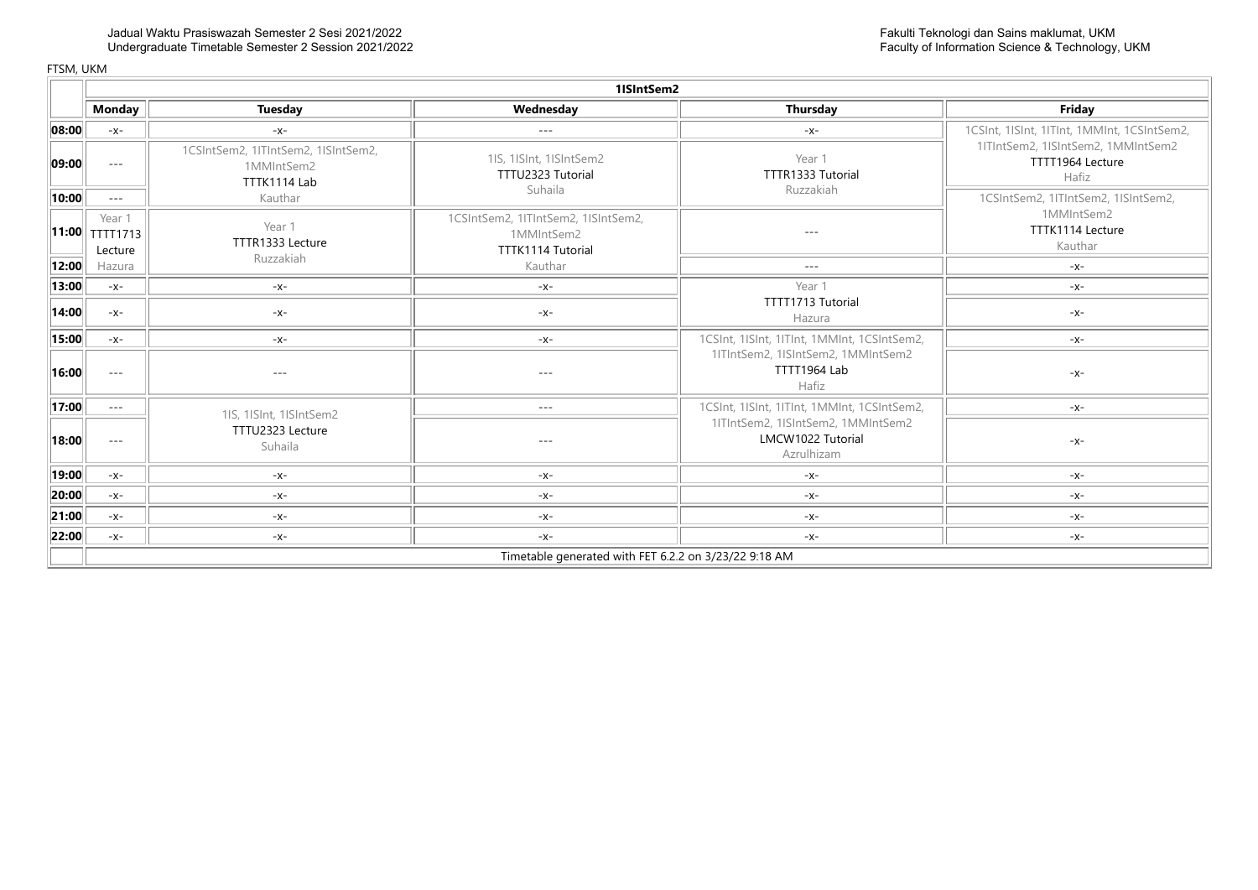|       | 1ISIntSem2                                            |                                                                   |                                                                        |                                                                       |                                                                 |  |  |  |
|-------|-------------------------------------------------------|-------------------------------------------------------------------|------------------------------------------------------------------------|-----------------------------------------------------------------------|-----------------------------------------------------------------|--|--|--|
|       | <b>Monday</b>                                         | <b>Tuesday</b>                                                    | Wednesday                                                              | Thursday                                                              | Friday                                                          |  |  |  |
| 08:00 | $-X-$                                                 | $-X-$                                                             | $- - -$                                                                | $-X-$                                                                 | 1CSInt, 1ISInt, 1ITInt, 1MMInt, 1CSIntSem2,                     |  |  |  |
| 09:00 | $\sim$ $\sim$ $\sim$                                  | 1CSIntSem2, 1ITIntSem2, 1ISIntSem2,<br>1MMIntSem2<br>TTTK1114 Lab | 1IS, 1ISInt, 1ISIntSem2<br>TTTU2323 Tutorial<br>Suhaila                | Year 1<br>TTTR1333 Tutorial<br>Ruzzakiah                              | 1ITIntSem2, 1ISIntSem2, 1MMIntSem2<br>TTTT1964 Lecture<br>Hafiz |  |  |  |
| 10:00 | $- - -$                                               | Kauthar                                                           |                                                                        |                                                                       | 1CSIntSem2, 1ITIntSem2, 1ISIntSem2,                             |  |  |  |
|       | Year 1<br>$  11:00  $ TTTT1713<br>Lecture             | Year 1<br>TTTR1333 Lecture<br>Ruzzakiah                           | 1CSIntSem2, 1ITIntSem2, 1ISIntSem2,<br>1MMIntSem2<br>TTTK1114 Tutorial | $- - -$                                                               | 1MMIntSem2<br>TTTK1114 Lecture<br>Kauthar                       |  |  |  |
| 12:00 | Hazura                                                |                                                                   | Kauthar                                                                | $- - -$                                                               | $-X-$                                                           |  |  |  |
| 13:00 | $-X-$                                                 | $-X-$                                                             | $-X-$                                                                  | Year 1                                                                | -X-                                                             |  |  |  |
| 14:00 | $-X-$                                                 | $-X-$                                                             | $-X-$                                                                  | TTTT1713 Tutorial<br>Hazura                                           | $-X-$                                                           |  |  |  |
| 15:00 | $-x-$                                                 | $-X-$                                                             | $-X-$                                                                  | 1CSInt, 1ISInt, 1ITInt, 1MMInt, 1CSIntSem2,                           | $-X-$                                                           |  |  |  |
| 16:00 | $- - -$                                               | $---$                                                             | $- - -$                                                                | 1ITIntSem2, 1ISIntSem2, 1MMIntSem2<br>TTTT1964 Lab<br>Hafiz           | $-X-$                                                           |  |  |  |
| 17:00 | $\sim$ $\sim$ $\sim$                                  | 1IS, 1ISInt, 1ISIntSem2                                           | $- - -$                                                                | 1CSInt, 1ISInt, 1ITInt, 1MMInt, 1CSIntSem2,                           | $-X-$                                                           |  |  |  |
| 18:00 | $- - -$                                               | TTTU2323 Lecture<br>Suhaila                                       | $- - -$                                                                | 1ITIntSem2, 1ISIntSem2, 1MMIntSem2<br>LMCW1022 Tutorial<br>Azrulhizam | $-X-$                                                           |  |  |  |
| 19:00 | $-x-$                                                 | $-X-$                                                             | -x-                                                                    | -X-                                                                   | -X-                                                             |  |  |  |
| 20:00 | $-x-$                                                 | $-X-$                                                             | $-X-$                                                                  | $-X-$                                                                 | $-X-$                                                           |  |  |  |
| 21:00 | $-x-$                                                 | $-x-$                                                             | $-x-$                                                                  | $-X-$                                                                 | -X-                                                             |  |  |  |
| 22:00 | $-X-$                                                 | -x-                                                               | $-x-$                                                                  | -x-                                                                   | -X-                                                             |  |  |  |
|       | Timetable generated with FET 6.2.2 on 3/23/22 9:18 AM |                                                                   |                                                                        |                                                                       |                                                                 |  |  |  |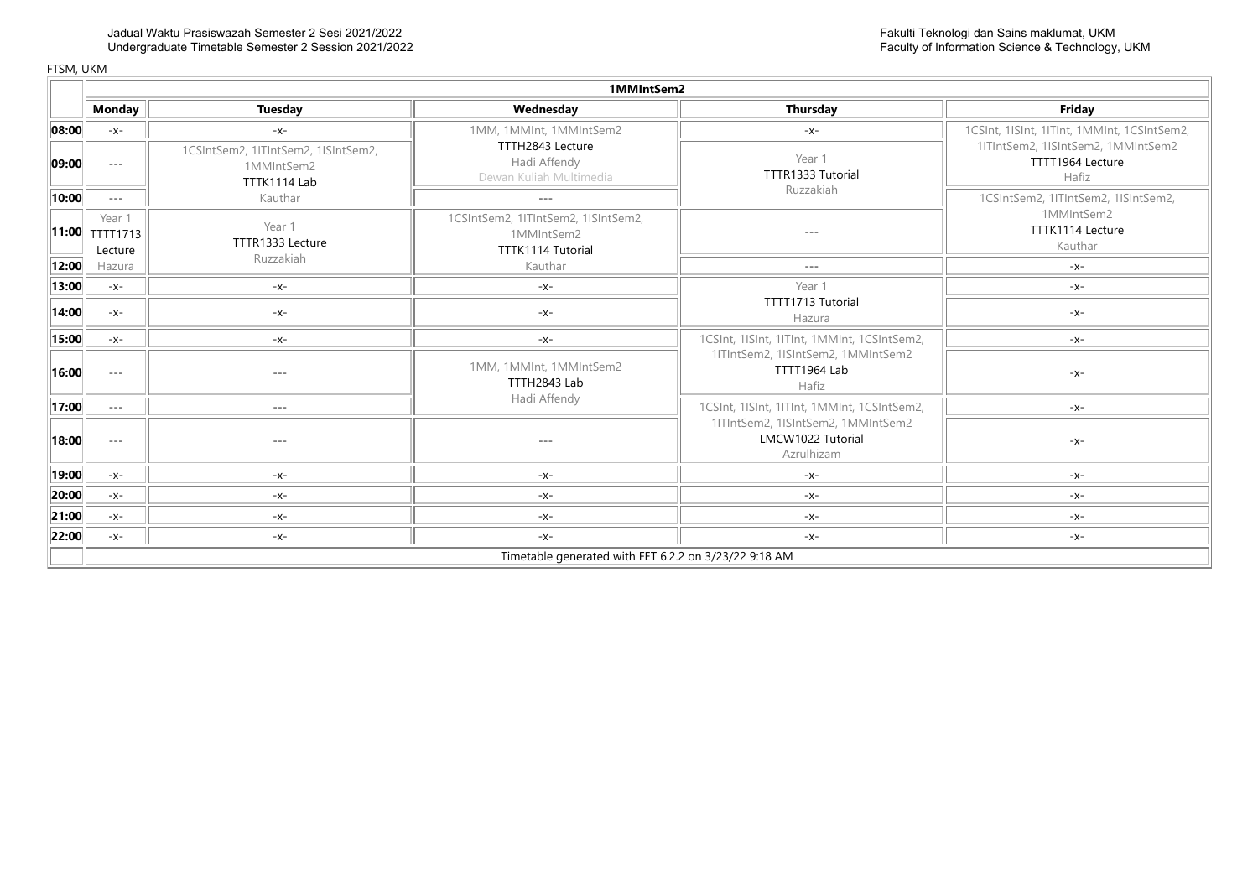|                            |                                                                                         |                                                                   | 1MMIntSem2                                                                    |                                                                                                                                                                                                                                                                                                                                                                                              |                                                                 |  |
|----------------------------|-----------------------------------------------------------------------------------------|-------------------------------------------------------------------|-------------------------------------------------------------------------------|----------------------------------------------------------------------------------------------------------------------------------------------------------------------------------------------------------------------------------------------------------------------------------------------------------------------------------------------------------------------------------------------|-----------------------------------------------------------------|--|
|                            | <b>Monday</b>                                                                           | <b>Tuesday</b>                                                    | Wednesday                                                                     | <b>Thursday</b>                                                                                                                                                                                                                                                                                                                                                                              | Friday                                                          |  |
| 08:00                      | $-X-$                                                                                   | $-X-$                                                             | 1MM, 1MMInt, 1MMIntSem2                                                       | $-X-$                                                                                                                                                                                                                                                                                                                                                                                        | 1CSInt, 1ISInt, 1ITInt, 1MMInt, 1CSIntSem2,                     |  |
| 09:00                      | $\cdots$                                                                                | 1CSIntSem2, 1ITIntSem2, 1ISIntSem2,<br>1MMIntSem2<br>TTTK1114 Lab | TTTH2843 Lecture<br>Hadi Affendy<br>Dewan Kuliah Multimedia                   | Year 1<br>TTTR1333 Tutorial<br>Ruzzakiah                                                                                                                                                                                                                                                                                                                                                     | 1ITIntSem2, 1ISIntSem2, 1MMIntSem2<br>TTTT1964 Lecture<br>Hafiz |  |
| $\vert$ 10:00 $\vert\vert$ | $\cdots$                                                                                | Kauthar                                                           | $- - -$                                                                       |                                                                                                                                                                                                                                                                                                                                                                                              | 1CSIntSem2, 1ITIntSem2, 1ISIntSem2,                             |  |
|                            | Year 1<br>$\left\Vert \mathbf{11:00}\right\Vert \mathbf{TTT1713}\right\Vert$<br>Lecture | Year 1<br>TTTR1333 Lecture<br>Ruzzakiah                           | 1CSIntSem2, 1ITIntSem2, 1ISIntSem2,<br>1MMIntSem2<br><b>TTTK1114 Tutorial</b> | $\frac{1}{2} \frac{1}{2} \frac{1}{2} \frac{1}{2} \frac{1}{2} \frac{1}{2} \frac{1}{2} \frac{1}{2} \frac{1}{2} \frac{1}{2} \frac{1}{2} \frac{1}{2} \frac{1}{2} \frac{1}{2} \frac{1}{2} \frac{1}{2} \frac{1}{2} \frac{1}{2} \frac{1}{2} \frac{1}{2} \frac{1}{2} \frac{1}{2} \frac{1}{2} \frac{1}{2} \frac{1}{2} \frac{1}{2} \frac{1}{2} \frac{1}{2} \frac{1}{2} \frac{1}{2} \frac{1}{2} \frac{$ | 1MMIntSem2<br>TTTK1114 Lecture<br>Kauthar                       |  |
| 12:00                      | Hazura                                                                                  |                                                                   | Kauthar                                                                       | $---$                                                                                                                                                                                                                                                                                                                                                                                        | $-x-$                                                           |  |
| $\vert 13:00 \vert \vert$  | $-x-$                                                                                   | $-X-$                                                             | -X-                                                                           | Year 1                                                                                                                                                                                                                                                                                                                                                                                       | -X-                                                             |  |
| 14:00                      | $-X-$                                                                                   | $-x-$                                                             | $-x-$                                                                         | TTTT1713 Tutorial<br>Hazura                                                                                                                                                                                                                                                                                                                                                                  | $-X-$                                                           |  |
| 15:00                      | $-x-$                                                                                   | $-X-$                                                             | $-X-$                                                                         | 1CSInt, 1ISInt, 1ITInt, 1MMInt, 1CSIntSem2,                                                                                                                                                                                                                                                                                                                                                  | -X-                                                             |  |
| 16:00                      | $\cdots$                                                                                | $- - -$                                                           | 1MM, 1MMInt, 1MMIntSem2<br>TTTH2843 Lab<br>Hadi Affendy                       | 1ITIntSem2, 1ISIntSem2, 1MMIntSem2<br>TTTT1964 Lab<br>Hafiz                                                                                                                                                                                                                                                                                                                                  | $-X-$                                                           |  |
| 17:00                      | $- - -$                                                                                 | $---$                                                             |                                                                               | 1CSInt, 1ISInt, 1ITInt, 1MMInt, 1CSIntSem2,                                                                                                                                                                                                                                                                                                                                                  | -X-                                                             |  |
| 18:00                      | $\cdots$                                                                                | $- - -$                                                           | $- - -$                                                                       | 1ITIntSem2, 1ISIntSem2, 1MMIntSem2<br>LMCW1022 Tutorial<br>Azrulhizam                                                                                                                                                                                                                                                                                                                        | $-X-$                                                           |  |
| 19:00                      | $-x-$                                                                                   | $-X-$                                                             | -X-                                                                           | $-X-$                                                                                                                                                                                                                                                                                                                                                                                        | -x-                                                             |  |
| 20:00                      | $-x-$                                                                                   | $-x-$                                                             | $-x-$                                                                         | $-x-$                                                                                                                                                                                                                                                                                                                                                                                        | -X-                                                             |  |
| $\ $ 21:00 $\ $            | $-x-$                                                                                   | $-X-$                                                             | $-X-$                                                                         | $-X-$                                                                                                                                                                                                                                                                                                                                                                                        | $-X-$                                                           |  |
| $\vert$ 22:00 $\vert$      | $-X-$                                                                                   | $-X-$                                                             | $-X-$                                                                         | $-X-$                                                                                                                                                                                                                                                                                                                                                                                        | $-X-$                                                           |  |
|                            |                                                                                         |                                                                   | Timetable generated with FET 6.2.2 on 3/23/22 9:18 AM                         |                                                                                                                                                                                                                                                                                                                                                                                              |                                                                 |  |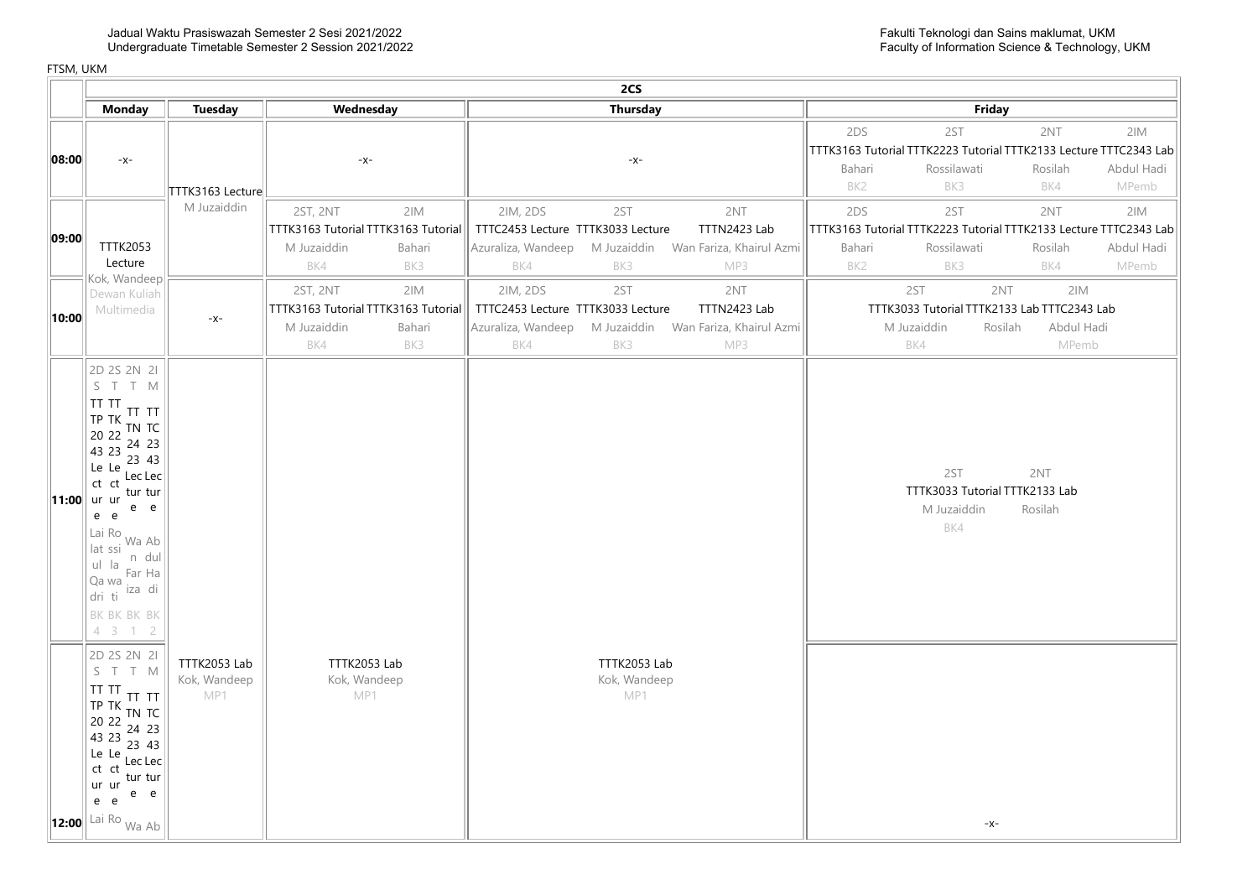|       | 2CS                                                                                                                                                                                                                                                                                                                                                                                                                                                                                                                                                                                                                                           |                                     |                                                                                               |                                                                                                                                                                |                                                                                                                                                                               |  |  |
|-------|-----------------------------------------------------------------------------------------------------------------------------------------------------------------------------------------------------------------------------------------------------------------------------------------------------------------------------------------------------------------------------------------------------------------------------------------------------------------------------------------------------------------------------------------------------------------------------------------------------------------------------------------------|-------------------------------------|-----------------------------------------------------------------------------------------------|----------------------------------------------------------------------------------------------------------------------------------------------------------------|-------------------------------------------------------------------------------------------------------------------------------------------------------------------------------|--|--|
|       | <b>Monday</b>                                                                                                                                                                                                                                                                                                                                                                                                                                                                                                                                                                                                                                 | <b>Tuesday</b>                      | Wednesday                                                                                     | <b>Thursday</b>                                                                                                                                                | Friday                                                                                                                                                                        |  |  |
| 08:00 | $-x-$                                                                                                                                                                                                                                                                                                                                                                                                                                                                                                                                                                                                                                         | TTTK3163 Lecture                    | $-x-$                                                                                         | $-x-$                                                                                                                                                          | 2DS<br>2NT<br>2IM<br>2ST<br>TTTK3163 Tutorial TTTK2223 Tutorial TTTK2133 Lecture TTTC2343 Lab<br>Abdul Hadi<br>Bahari<br>Rossilawati<br>Rosilah<br>BK2<br>BK3<br>BK4<br>MPemb |  |  |
| 09:00 | <b>TTTK2053</b><br>Lecture<br>Kok, Wandeep                                                                                                                                                                                                                                                                                                                                                                                                                                                                                                                                                                                                    | M Juzaiddin                         | 2ST, 2NT<br>2IM<br>TTTK3163 Tutorial TTTK3163 Tutorial<br>M Juzaiddin<br>Bahari<br>BK4<br>BK3 | 2IM, 2DS<br>2ST<br>2NT<br>TTTC2453 Lecture TTTK3033 Lecture<br>TTTN2423 Lab<br>Azuraliza, Wandeep<br>M Juzaiddin Wan Fariza, Khairul Azmi<br>BK4<br>BK3<br>MP3 | 2DS<br>2ST<br>2NT<br>2IM<br>TTTK3163 Tutorial TTTK2223 Tutorial TTTK2133 Lecture TTTC2343 Lab<br>Abdul Hadi<br>Bahari<br>Rossilawati<br>Rosilah<br>BK4<br>BK2<br>BK3<br>MPemb |  |  |
| 10:00 | Dewan Kuliah<br>Multimedia                                                                                                                                                                                                                                                                                                                                                                                                                                                                                                                                                                                                                    | $-X-$                               | 2ST, 2NT<br>2IM<br>TTTK3163 Tutorial TTTK3163 Tutorial<br>M Juzaiddin<br>Bahari<br>BK3<br>BK4 | 2ST<br>2NT<br>2IM, 2DS<br>TTTC2453 Lecture TTTK3033 Lecture<br>TTTN2423 Lab<br>Azuraliza, Wandeep M Juzaiddin Wan Fariza, Khairul Azmi<br>BK4<br>BK3<br>MP3    | 2ST<br>2NT<br>2IM<br>TTTK3033 Tutorial TTTK2133 Lab TTTC2343 Lab<br>Abdul Hadi<br>M Juzaiddin<br>Rosilah<br>BK4<br>MPemb                                                      |  |  |
|       | 2D 2S 2N 2I<br>S T T M<br>TT TT<br>TT TT<br>$ITP$ TK TN TC<br>20 22<br>$\begin{array}{ccc} & -2 & 24 & 23 \\ 43 & 23 & -23 \end{array}$<br>23 43<br>$\left  \begin{array}{cc} \text{Le} & \text{Le} \\ \text{Lec} & \text{Lec} \end{array} \right $<br>$\int$ ct ct $\frac{1}{\ln x}$<br><b>11:00</b> ur ur<br>e e<br>e e<br>$\mathsf{I}$ Lai Ro Wa Ab <sup>1</sup><br>lat ssi<br>n dul<br>$\int$ ul la $\int$ Far Ha<br>Qa wa iza di<br>dri ti<br>BK BK BK BK<br>4312<br>2D 2S 2N 2I<br>S T T M<br>TT TT<br>TT TT<br>TP TK TN TC<br>20 22 24 22<br>$\begin{array}{ccc} & 22 & 24 & 23 \\ 43 & 23 & 25 & 23 \\ 23 & 23 & 23 & 23 \end{array}$ | TTTK2053 Lab<br>Kok, Wandeep<br>MP1 | TTTK2053 Lab<br>Kok, Wandeep<br>MP1                                                           | TTTK2053 Lab<br>Kok, Wandeep<br>MP1                                                                                                                            | 2NT<br>2ST<br>TTTK3033 Tutorial TTTK2133 Lab<br>M Juzaiddin<br>Rosilah<br>BK4                                                                                                 |  |  |
|       | 23 43<br>Le Le<br>Lec Lec<br>$\int_{0}^{2\pi}$ ct $\int_{0}^{2\pi}$ tur tur<br>ur ur<br>e e<br>e e<br>$\vert$ 12:00 $\vert$ Lai Ro <sub>Wa Ab</sub>                                                                                                                                                                                                                                                                                                                                                                                                                                                                                           |                                     |                                                                                               |                                                                                                                                                                | $-X-$                                                                                                                                                                         |  |  |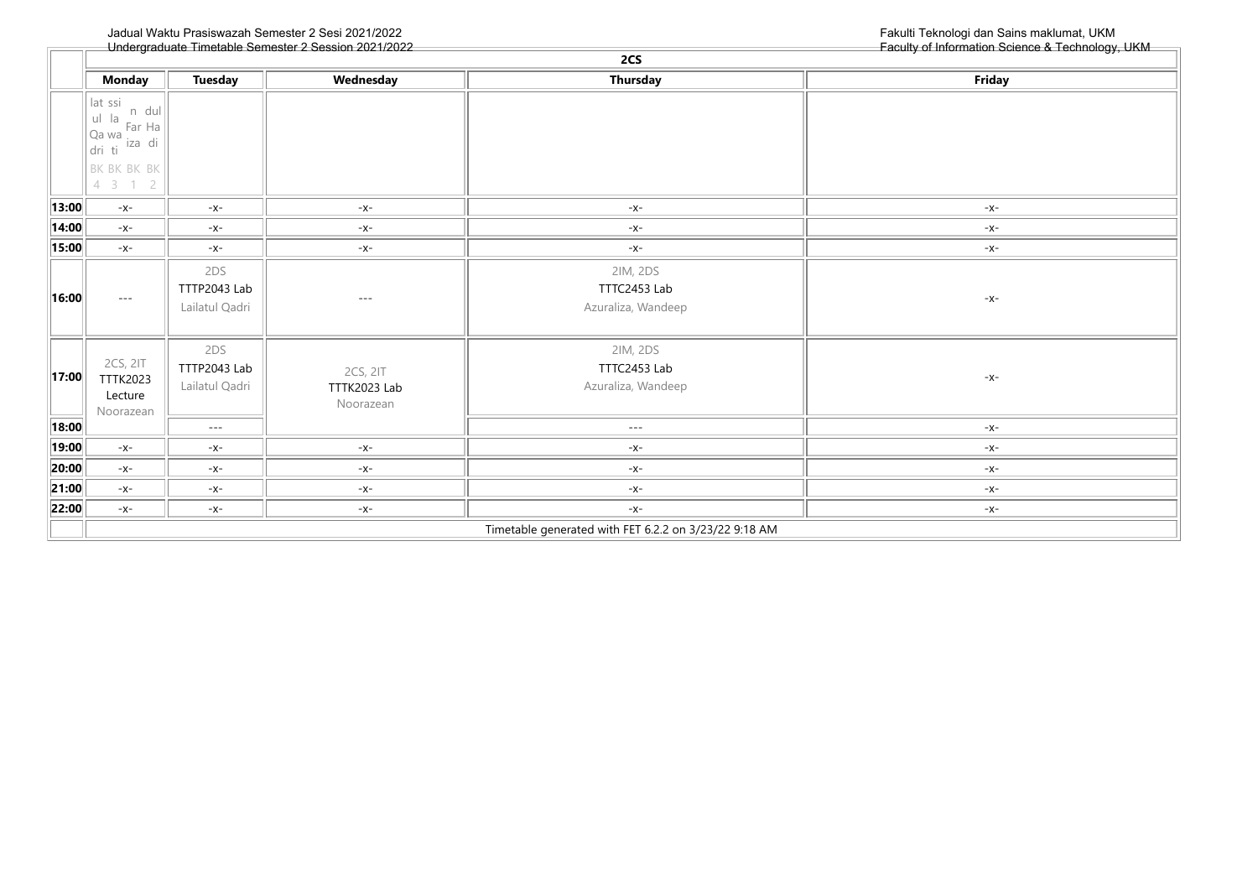|               | 2CS                                                                                                               |                                       |                                       |                                                       |        |  |  |
|---------------|-------------------------------------------------------------------------------------------------------------------|---------------------------------------|---------------------------------------|-------------------------------------------------------|--------|--|--|
|               | <b>Monday</b>                                                                                                     | <b>Tuesday</b>                        | Wednesday                             | <b>Thursday</b>                                       | Friday |  |  |
|               | lat ssi<br>n dul<br>$\frac{1}{2}$ I la Far Ha   I<br>$\int Qa \, wa \, 2a \, di$<br>dri ti<br>BK BK BK BK<br>4312 |                                       |                                       |                                                       |        |  |  |
| 13:00         | $-x-$                                                                                                             | $-x-$                                 | $-X-$                                 | $-x-$                                                 | $-X-$  |  |  |
| 14:00         | $-x-$                                                                                                             | $-X-$                                 | $-x-$                                 | $-x-$                                                 | $-X-$  |  |  |
| 15:00         | $-x-$                                                                                                             | $-x-$                                 | $-X-$                                 | $-x-$                                                 | $-x-$  |  |  |
| 16:00         | $- - -$                                                                                                           | 2DS<br>TTTP2043 Lab<br>Lailatul Qadri | $- - -$                               | 2IM, 2DS<br>TTTC2453 Lab<br>Azuraliza, Wandeep        | $-X-$  |  |  |
| 17:00         | 2CS, 2IT<br><b>TTTK2023</b><br>Lecture<br>Noorazean                                                               | 2DS<br>TTTP2043 Lab<br>Lailatul Qadri | 2CS, 2IT<br>TTTK2023 Lab<br>Noorazean | 2IM, 2DS<br>TTTC2453 Lab<br>Azuraliza, Wandeep        | $-x-$  |  |  |
| $\  18:00 \ $ |                                                                                                                   | $\sim$ $\sim$ $\sim$                  |                                       | $\sim$ $\sim$ $\sim$                                  | $-X-$  |  |  |
| 19:00         | $-X-$                                                                                                             | $-X-$                                 | $-X-$                                 | -X-                                                   | -x-    |  |  |
| 20:00         | $-x-$                                                                                                             | $-X-$                                 | $-X-$                                 | $-X-$                                                 | $-X-$  |  |  |
| 21:00         | $-x-$                                                                                                             | $-x-$                                 | $-x-$                                 | $-x-$                                                 | $-X-$  |  |  |
| 22:00         | $-x-$                                                                                                             | $-X-$                                 | $-X-$                                 | $-x-$                                                 | $-X-$  |  |  |
|               |                                                                                                                   |                                       |                                       | Timetable generated with FET 6.2.2 on 3/23/22 9:18 AM |        |  |  |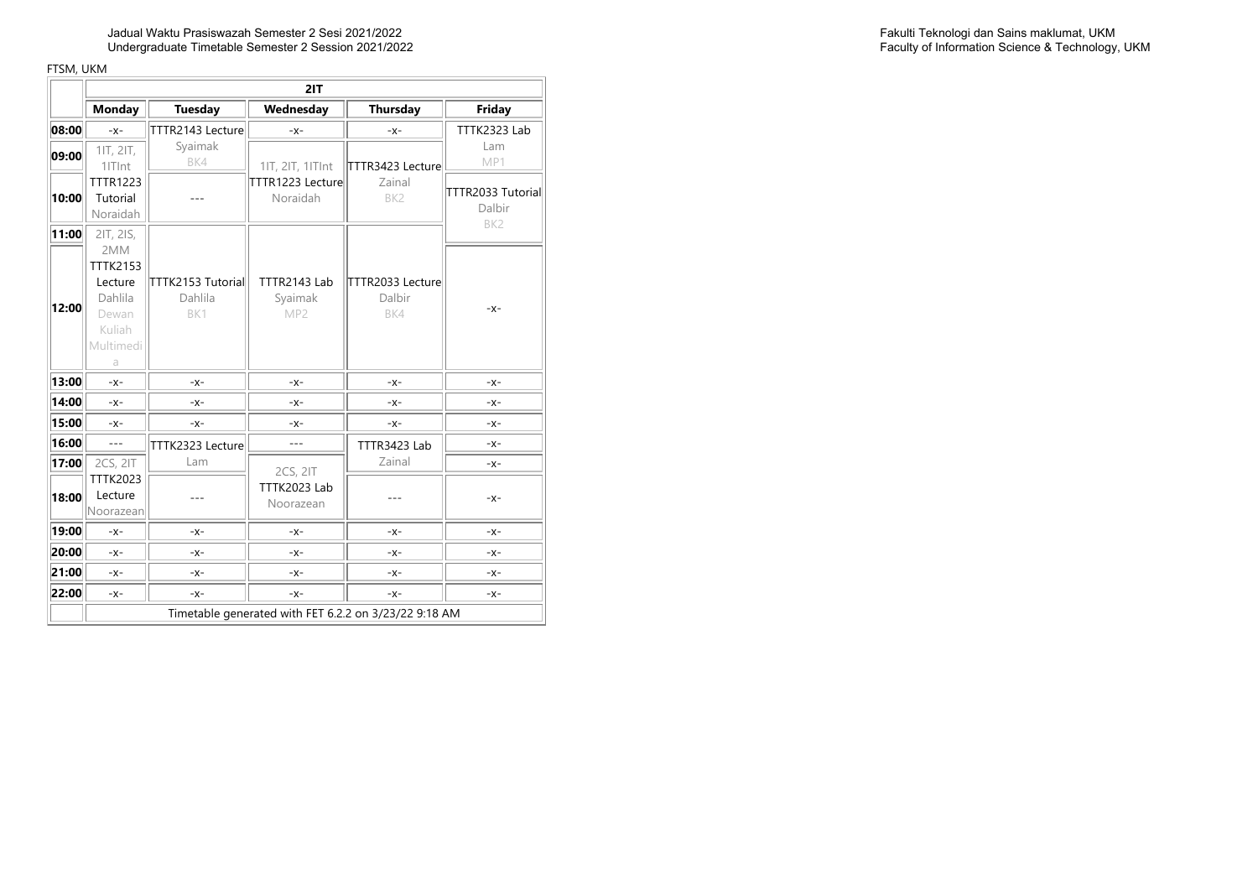|       | 2IT                |                              |                            |                                                       |                   |  |
|-------|--------------------|------------------------------|----------------------------|-------------------------------------------------------|-------------------|--|
|       | <b>Monday</b>      | <b>Tuesday</b>               | Wednesday                  | <b>Thursday</b>                                       | Friday            |  |
| 08:00 | $-x-$              | TTTR2143 Lecture             | $-X-$                      | $-X-$                                                 | TTTK2323 Lab      |  |
| 09:00 | 1IT, 2IT,          | Syaimak                      |                            |                                                       | Lam               |  |
|       | 1ITInt             | BK4                          | 11T, 21T, 11TInt           | TTTR3423 Lecture                                      | MP1               |  |
|       | <b>TTTR1223</b>    |                              | TTTR1223 Lecture           | Zainal                                                | TTTR2033 Tutorial |  |
| 10:00 | Tutorial           |                              | Noraidah                   | BK <sub>2</sub>                                       | Dalbir            |  |
|       | Noraidah           |                              |                            |                                                       | BK <sub>2</sub>   |  |
| 11:00 | 2IT, 2IS,          |                              |                            |                                                       |                   |  |
|       | 2MM                |                              |                            |                                                       |                   |  |
|       | <b>TTTK2153</b>    |                              |                            |                                                       |                   |  |
|       | Lecture<br>Dahlila | TTTK2153 Tutorial<br>Dahlila | TTTR2143 Lab               | TTTR2033 Lecture<br>Dalbir                            |                   |  |
| 12:00 | Dewan              | BK1                          | Syaimak<br>MP <sub>2</sub> | BK4                                                   | $-X-$             |  |
|       | Kuliah             |                              |                            |                                                       |                   |  |
|       | Multimedi          |                              |                            |                                                       |                   |  |
|       | a                  |                              |                            |                                                       |                   |  |
| 13:00 | $-x-$              | $-X-$                        | $-X-$                      | $-X-$                                                 | $-X-$             |  |
| 14:00 | $-X -$             | $-X -$                       | $-x-$                      | $-x-$                                                 | $-X-$             |  |
| 15:00 | $-X -$             | $-X-$                        | -x-                        | $-x-$                                                 | $-X-$             |  |
| 16:00 | $\sim$             | TTTK2323 Lecture             |                            | TTTR3423 Lab                                          | $-X-$             |  |
| 17:00 | 2CS, 2IT           | Lam                          | 2CS, 2IT                   | Zainal                                                | $-X-$             |  |
|       | <b>TTTK2023</b>    |                              | TTTK2023 Lab               |                                                       |                   |  |
| 18:00 | Lecture            |                              | Noorazean                  |                                                       | $-X -$            |  |
|       | Noorazean          |                              |                            |                                                       |                   |  |
| 19:00 | $-X -$             | $-X-$                        | $-x-$                      | $-X-$                                                 | $-X-$             |  |
| 20:00 | $-X-$              | $-X-$                        | $-x-$                      | $-X-$                                                 | $-X-$             |  |
| 21:00 | $-X-$              | $-X-$                        | $-X -$                     | $-X-$                                                 | $-X-$             |  |
| 22:00 | $-X-$              | $-X-$                        | $-X-$                      | $-X-$                                                 | $-X-$             |  |
|       |                    |                              |                            | Timetable generated with FET 6.2.2 on 3/23/22 9:18 AM |                   |  |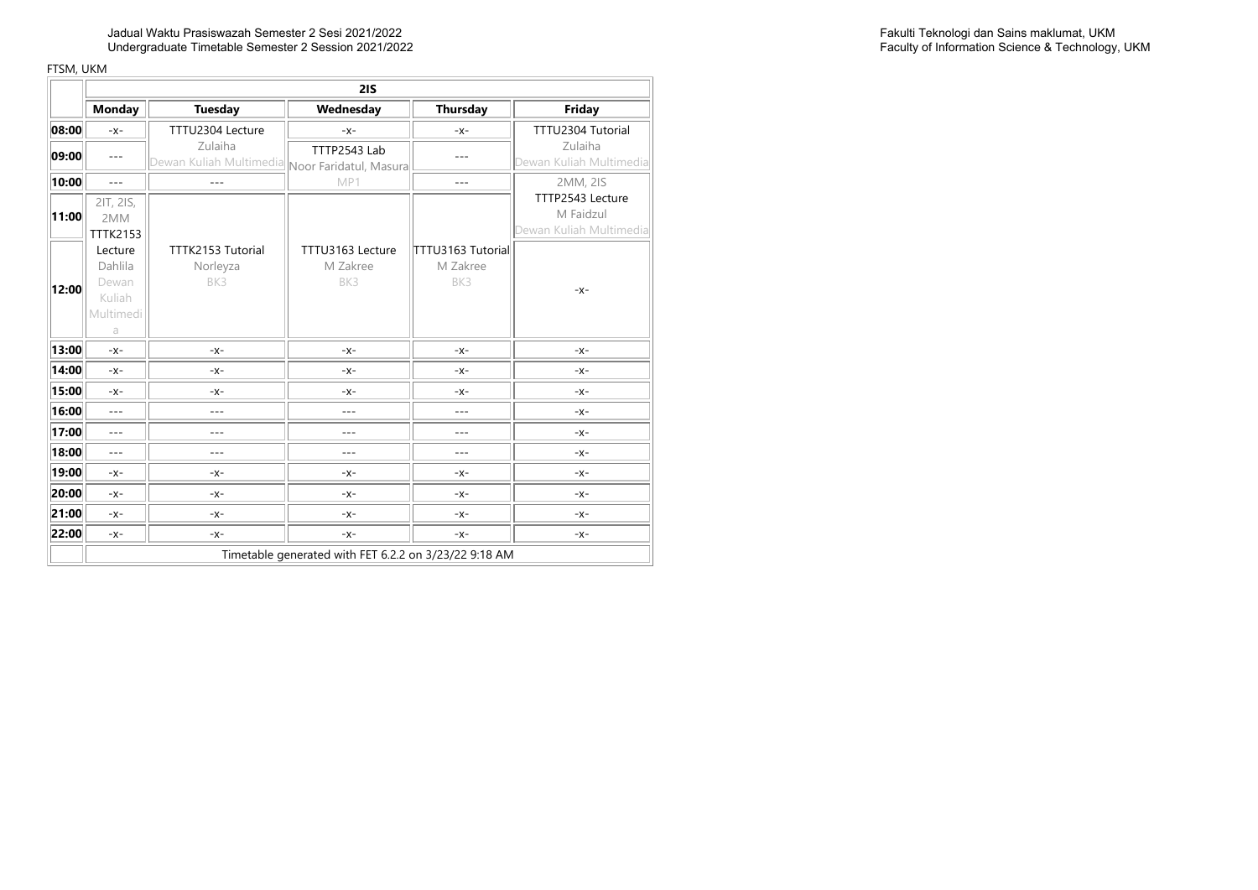Jadual Waktu Prasiswazah Semester 2 Sesi 2021/2022 Undergraduate Timetable Semester 2 Session 2021/2022

|       |                                                         | 21S                                                               |                                                       |                                      |                                                          |  |  |  |
|-------|---------------------------------------------------------|-------------------------------------------------------------------|-------------------------------------------------------|--------------------------------------|----------------------------------------------------------|--|--|--|
|       | <b>Monday</b>                                           | <b>Tuesday</b>                                                    | Wednesday                                             | Thursday                             | Friday                                                   |  |  |  |
| 08:00 | $-X-$                                                   | TTTU2304 Lecture                                                  | $-X-$                                                 | $-X-$                                | TTTU2304 Tutorial                                        |  |  |  |
| 09:00 | $---$                                                   | Zulaiha<br>Dewan Kulia <u>h Multimedia</u> Noor Faridatul, Masura | TTTP2543 Lab                                          |                                      | Zulaiha<br>Dewan Kuliah Multimedia                       |  |  |  |
| 10:00 | $---$                                                   | $---$                                                             | MP1                                                   | $---$                                | 2MM, 2IS                                                 |  |  |  |
| 11:00 | 2IT, 2IS,<br>2MM<br><b>TTTK2153</b>                     |                                                                   |                                                       |                                      | TTTP2543 Lecture<br>M Faidzul<br>Dewan Kuliah Multimedia |  |  |  |
| 12:00 | Lecture<br>Dahlila<br>Dewan<br>Kuliah<br>Multimedi<br>a | TTTK2153 Tutorial<br>Norleyza<br>BK3                              | TTTU3163 Lecture<br>M Zakree<br>BK3                   | TTTU3163 Tutorial<br>M Zakree<br>BK3 | $-X-$                                                    |  |  |  |
| 13:00 | $-X-$                                                   | $-X-$                                                             | $-X-$                                                 | $-X-$                                | $-X-$                                                    |  |  |  |
| 14:00 | $-X-$                                                   | $-X-$                                                             | $-X-$                                                 | $-X-$                                | $-X-$                                                    |  |  |  |
| 15:00 | $-X-$                                                   | $-x-$                                                             | $-x$ -                                                | $-X-$                                | $-X-$                                                    |  |  |  |
| 16:00 | $---$                                                   | $---$                                                             | $---$                                                 | $---$                                | $-X-$                                                    |  |  |  |
| 17:00 | $---$                                                   | ---                                                               | ---                                                   | $---$                                | $-X-$                                                    |  |  |  |
| 18:00 | $---$                                                   | $- - -$                                                           | ---                                                   | $---$                                | $-X-$                                                    |  |  |  |
| 19:00 | $-X-$                                                   | $-X-$                                                             | $-X-$                                                 | $-X-$                                | $-X-$                                                    |  |  |  |
| 20:00 | $-X-$                                                   | $-x$ -                                                            | $-X-$                                                 | $-x$ -                               | $-X-$                                                    |  |  |  |
| 21:00 | $-X-$                                                   | $-x-$                                                             | $-X-$                                                 | $-X-$                                | $-X-$                                                    |  |  |  |
| 22:00 | $-X-$                                                   | $-x$ -                                                            | $-X-$                                                 | $-X-$                                | $-X-$                                                    |  |  |  |
|       |                                                         |                                                                   | Timetable generated with FET 6.2.2 on 3/23/22 9:18 AM |                                      |                                                          |  |  |  |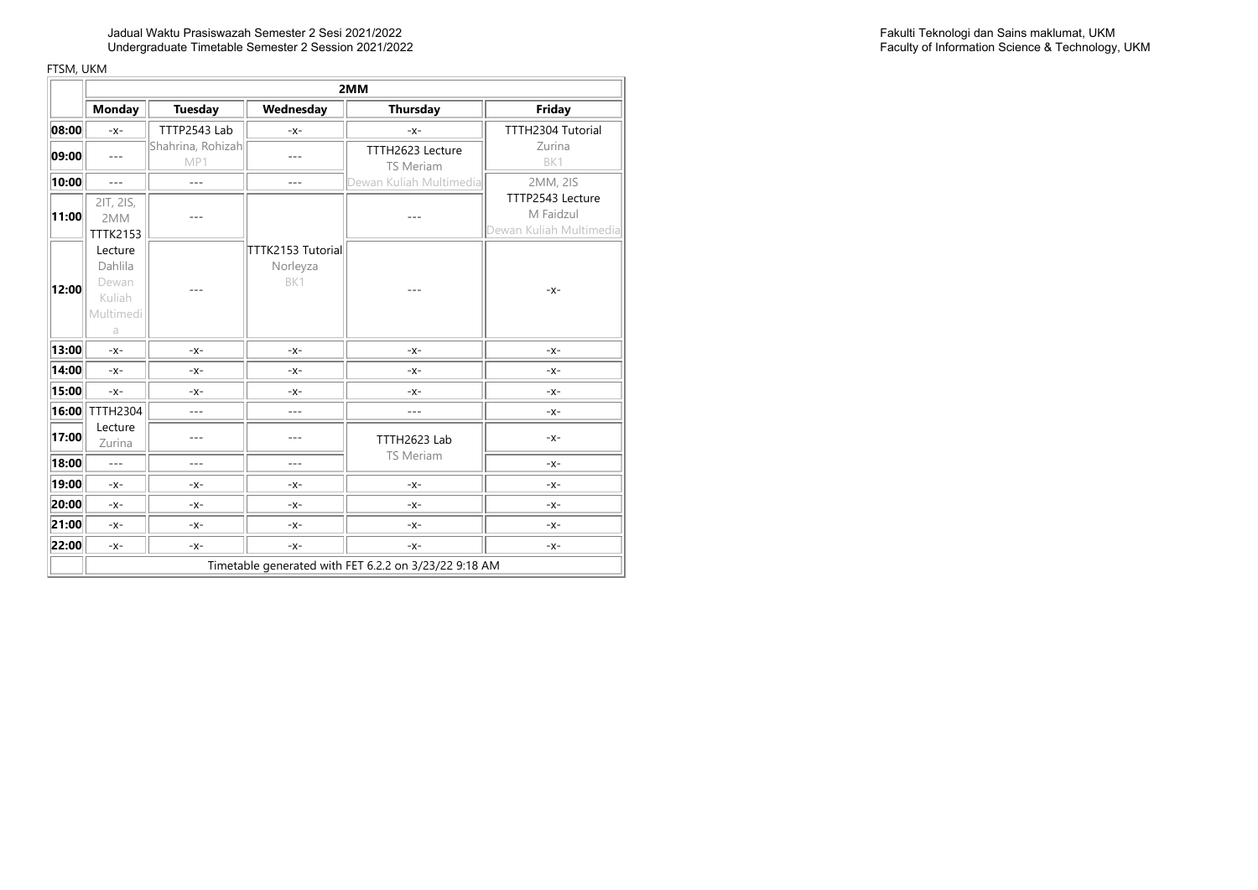|       |                                                         | 2MM                      |                                      |                                                       |                                                          |  |  |
|-------|---------------------------------------------------------|--------------------------|--------------------------------------|-------------------------------------------------------|----------------------------------------------------------|--|--|
|       | <b>Monday</b>                                           | Tuesday                  | Wednesday                            | <b>Thursday</b>                                       | Friday                                                   |  |  |
| 08:00 | $-X -$                                                  | TTTP2543 Lab             | $-X-$                                | $-x-$                                                 | TTTH2304 Tutorial                                        |  |  |
| 09:00 | $---$                                                   | Shahrina, Rohizah<br>MP1 |                                      | TTTH2623 Lecture<br><b>TS Meriam</b>                  | Zurina<br>BK1                                            |  |  |
| 10:00 | $\overline{a}$                                          | $-$                      | $---$                                | Dewan Kuliah Multimedia                               | 2MM, 2IS                                                 |  |  |
| 11:00 | 2IT, 2IS,<br>2MM<br>TTTK2153                            |                          |                                      |                                                       | TTTP2543 Lecture<br>M Faidzul<br>Dewan Kuliah Multimedia |  |  |
| 12:00 | Lecture<br>Dahlila<br>Dewan<br>Kuliah<br>Multimedi<br>a |                          | TTTK2153 Tutorial<br>Norleyza<br>BK1 |                                                       | $-X-$                                                    |  |  |
| 13:00 | $-X-$                                                   | $-X -$                   | $-X-$                                | $-X-$                                                 | $-X-$                                                    |  |  |
| 14:00 | $-X -$                                                  | $-X-$                    | $-X-$                                | $-X-$                                                 | $-X-$                                                    |  |  |
| 15:00 | $-x-$                                                   | $-X -$                   | $-X-$                                | $-X-$                                                 | $-X-$                                                    |  |  |
| 16:00 | <b>TTTH2304</b>                                         | $---$                    | $---$                                | ---                                                   | $-X-$                                                    |  |  |
| 17:00 | Lecture<br>Zurina                                       |                          | ---                                  | TTTH2623 Lab<br><b>TS Meriam</b>                      | $-X-$                                                    |  |  |
| 18:00 | $\overline{a}$                                          | ---                      | ---                                  |                                                       | $-X-$                                                    |  |  |
| 19:00 | $-X -$                                                  | $-X -$                   | $-X-$                                | $-X-$                                                 | $-X-$                                                    |  |  |
| 20:00 | $-X -$                                                  | $-x$ -                   | $-X-$                                | $-X-$                                                 | $-X-$                                                    |  |  |
| 21:00 | $-X-$                                                   | $-X-$                    | $-X-$                                | $-X-$                                                 | $-X-$                                                    |  |  |
| 22:00 | $-x$ -                                                  | $-X -$                   | $-X-$                                | $-X-$                                                 | $-x$ -                                                   |  |  |
|       |                                                         |                          |                                      | Timetable generated with FET 6.2.2 on 3/23/22 9:18 AM |                                                          |  |  |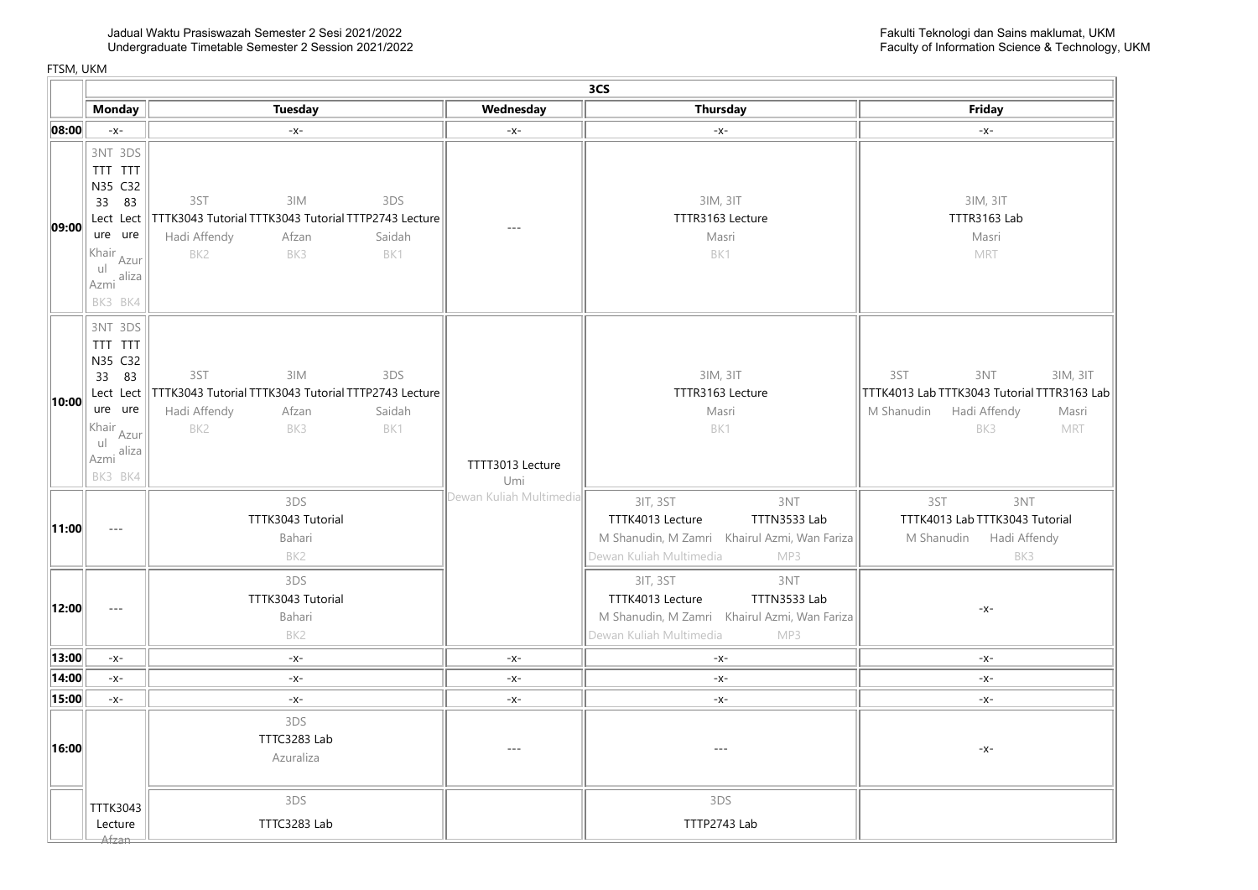|       |                                                                                                                                            | 3CS                                                                                                                               |                         |                                                                                                                                       |                                                                                                                                   |  |  |  |
|-------|--------------------------------------------------------------------------------------------------------------------------------------------|-----------------------------------------------------------------------------------------------------------------------------------|-------------------------|---------------------------------------------------------------------------------------------------------------------------------------|-----------------------------------------------------------------------------------------------------------------------------------|--|--|--|
|       | <b>Monday</b>                                                                                                                              | <b>Tuesday</b>                                                                                                                    | Wednesday               | <b>Thursday</b>                                                                                                                       | Friday                                                                                                                            |  |  |  |
| 08:00 | $-x-$                                                                                                                                      | $-x-$                                                                                                                             | $-x-$                   | $-x-$                                                                                                                                 | $-x-$                                                                                                                             |  |  |  |
| 09:00 | 3NT 3DS<br>TTT TTT<br>N35 C32<br>33 83<br>Lect Lect<br>ure ure<br>Khair <sub>Azur</sub><br>I <sub>Azmi</sub> aliza<br>BK3 BK4              | 3ST<br>3IM<br>3DS<br>TTTK3043 Tutorial TTTK3043 Tutorial TTTP2743 Lecture<br>Hadi Affendy<br>Saidah<br>Afzan<br>BK2<br>BK3<br>BK1 | $---$                   | 3IM, 3IT<br>TTTR3163 Lecture<br>Masri<br>BK1                                                                                          | 3IM, 3IT<br>TTTR3163 Lab<br>Masri<br>MRT                                                                                          |  |  |  |
| 10:00 | 3NT 3DS<br>TTT TTT<br>N35 C32<br>33 83<br>Lect Lect<br>ure ure<br>Khair <sub>Azur</sub><br> u <br>$\frac{1}{\text{Azmi}}$ aliza<br>BK3 BK4 | 3ST<br>3IM<br>3DS<br>TTTK3043 Tutorial TTTK3043 Tutorial TTTP2743 Lecture<br>Hadi Affendy<br>Saidah<br>Afzan<br>BK2<br>BK3<br>BK1 | TTTT3013 Lecture<br>Umi | 3IM, 3IT<br>TTTR3163 Lecture<br>Masri<br>BK1                                                                                          | 3ST<br>3NT<br>3IM, 3IT<br>TTTK4013 Lab TTTK3043 Tutorial TTTR3163 Lab<br>M Shanudin<br>Hadi Affendy<br>Masri<br>BK3<br><b>MRT</b> |  |  |  |
| 11:00 | $- - -$                                                                                                                                    | 3DS<br>TTTK3043 Tutorial<br>Bahari<br>BK2                                                                                         | Dewan Kuliah Multimedia | 3IT, 3ST<br>3NT<br>TTTK4013 Lecture<br>TTTN3533 Lab<br>M Shanudin, M Zamri Khairul Azmi, Wan Fariza<br>Dewan Kuliah Multimedia<br>MP3 | 3NT<br>3ST<br>TTTK4013 Lab TTTK3043 Tutorial<br>M Shanudin Hadi Affendy<br>BK3                                                    |  |  |  |
| 12:00 | $\overline{a}$                                                                                                                             | 3DS<br>TTTK3043 Tutorial<br>Bahari<br>BK <sub>2</sub>                                                                             |                         | 3NT<br>3IT, 3ST<br>TTTK4013 Lecture<br>TTTN3533 Lab<br>M Shanudin, M Zamri Khairul Azmi, Wan Fariza<br>Dewan Kuliah Multimedia<br>MP3 | $-X-$                                                                                                                             |  |  |  |
| 13:00 | $-x-$                                                                                                                                      | $-x$ -                                                                                                                            | $-x-$                   | $-x-$                                                                                                                                 | $-X-$                                                                                                                             |  |  |  |
| 14:00 | $-x-$                                                                                                                                      | $-X-$                                                                                                                             | $-x-$                   | $-x-$                                                                                                                                 | $-X-$                                                                                                                             |  |  |  |
| 15:00 | $-x$ -                                                                                                                                     | $-x-$                                                                                                                             | $-x-$                   | $-x$ -                                                                                                                                | $-x-$                                                                                                                             |  |  |  |
| 16:00 |                                                                                                                                            | 3DS<br>TTTC3283 Lab<br>Azuraliza                                                                                                  | $- - -$                 | $\overline{a}$                                                                                                                        | $-X-$                                                                                                                             |  |  |  |
|       | TTTK3043<br>Lecture<br>Afzan                                                                                                               | 3DS<br>TTTC3283 Lab                                                                                                               |                         | 3DS<br>TTTP2743 Lab                                                                                                                   |                                                                                                                                   |  |  |  |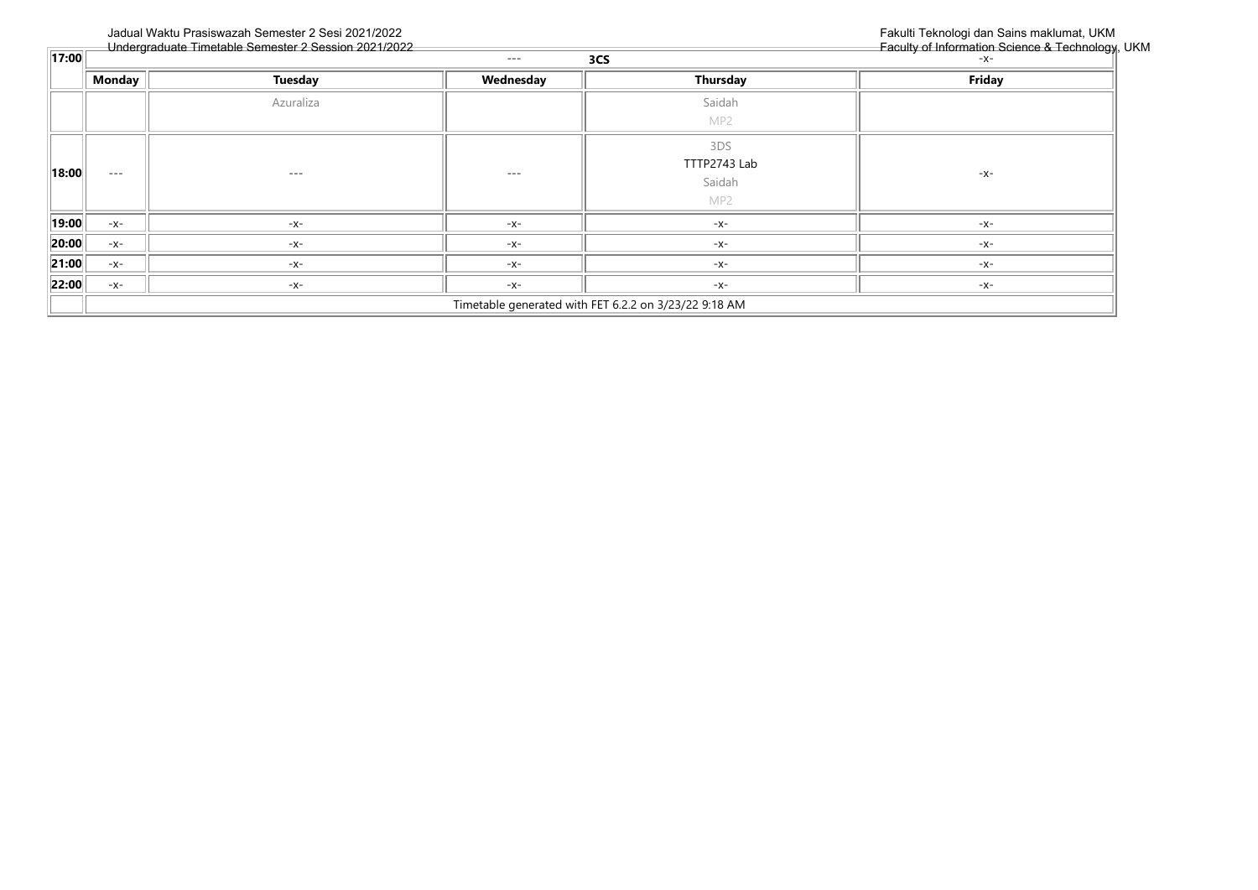|                    |          | Undergraduate Timetable Semester 2 Session 2021/2022 |           |                                                       | Faculty of Information Science & Technology, I |
|--------------------|----------|------------------------------------------------------|-----------|-------------------------------------------------------|------------------------------------------------|
| $\overline{17:00}$ |          |                                                      | $\cdots$  | 3CS                                                   | $-X-$                                          |
|                    | Monday   | <b>Tuesday</b>                                       | Wednesday | Thursday                                              | Friday                                         |
|                    |          | Azuraliza                                            |           | Saidah<br>MP2                                         |                                                |
| 18:00              | $\cdots$ | $---$                                                | $- - -$   | 3DS<br>TTTP2743 Lab<br>Saidah<br>MP2                  | $-X-$                                          |
| 19:00              | $-X-$    | -x-                                                  | $-X-$     | $-X-$                                                 | $-X-$                                          |
| $\ 20:00\ $        | $-X-$    | -x-                                                  | $-X-$     | $-X-$                                                 | $-X-$                                          |
| 21:00              | $-X-$    | -x-                                                  | $-X-$     | $-X-$                                                 | $-X-$                                          |
| 22:00              | $-X-$    | -x-                                                  | $-X-$     | $-X-$                                                 | $-X-$                                          |
|                    |          |                                                      |           | Timetable generated with FET 6.2.2 on 3/23/22 9:18 AM |                                                |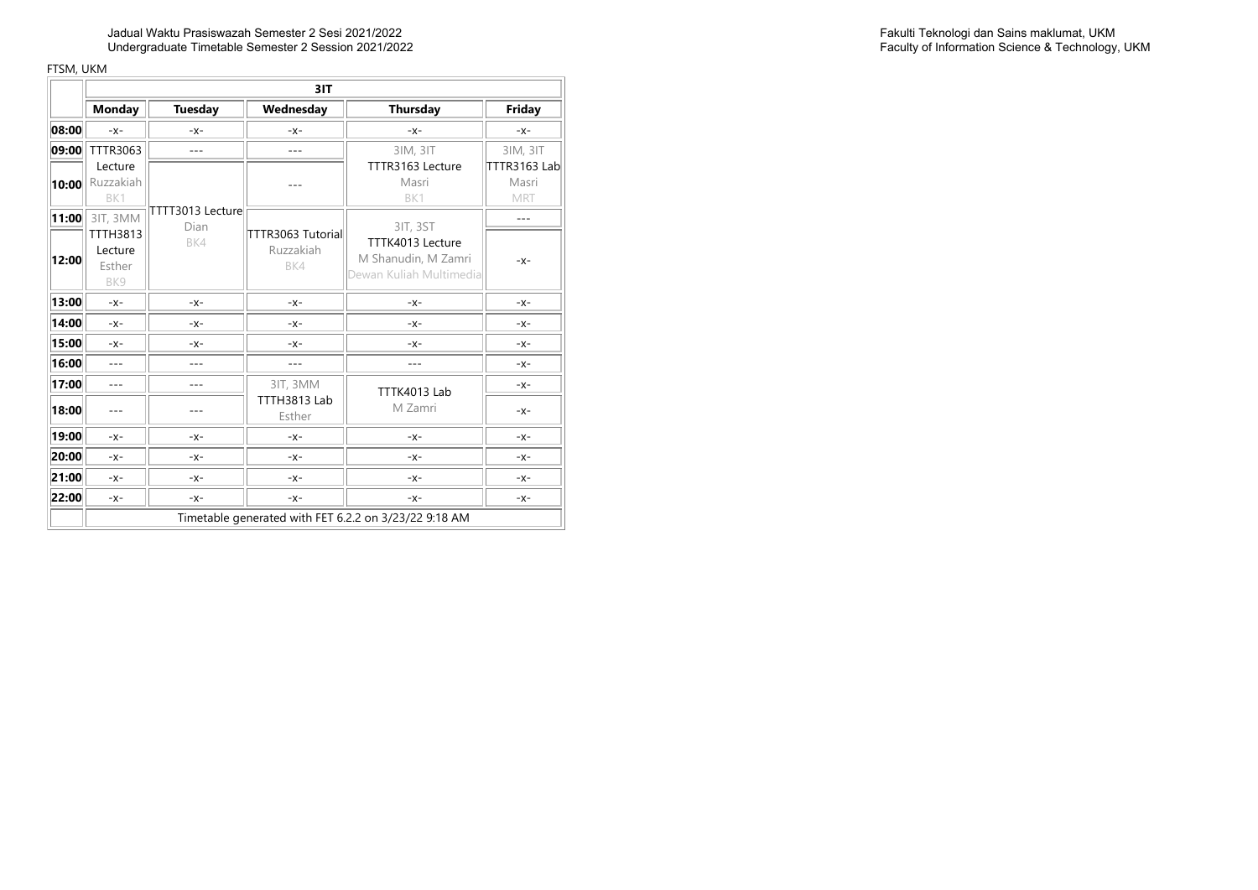|       |                                             | 3IT                      |                                       |                                                                    |                              |  |  |
|-------|---------------------------------------------|--------------------------|---------------------------------------|--------------------------------------------------------------------|------------------------------|--|--|
|       | <b>Monday</b>                               | <b>Tuesday</b>           | Wednesday                             | Thursday                                                           | Friday                       |  |  |
| 08:00 | $-x-$                                       | $-X -$                   | $-X-$                                 | $-X-$                                                              | $-X-$                        |  |  |
| 09:00 | TTTR3063                                    | ---                      | ---                                   | 3IM, 3IT                                                           | 3IM, 3IT                     |  |  |
| 10:00 | Lecture<br>Ruzzakiah<br>BK1                 |                          |                                       | TTTR3163 Lecture<br>Masri<br>BK1                                   | TTTR3163 Lab<br>Masri<br>MRT |  |  |
| 11:00 | 3IT, 3MM                                    | TTTT3013 Lecture<br>Dian |                                       | 3IT, 3ST                                                           | $- - -$                      |  |  |
| 12:00 | <b>TTTH3813</b><br>Lecture<br>Esther<br>BK9 | BK4                      | TTTR3063 Tutorial<br>Ruzzakiah<br>BK4 | TTTK4013 Lecture<br>M Shanudin, M Zamri<br>Dewan Kuliah Multimedia | $-X-$                        |  |  |
| 13:00 | $-X-$                                       | $-X-$                    | $-X-$                                 | $-X-$                                                              | $-X-$                        |  |  |
| 14:00 | $-X-$                                       | $-X-$                    | $-X-$                                 | $-X-$                                                              | $-X-$                        |  |  |
| 15:00 | $-X-$                                       | $-X-$                    | $-X-$                                 | $-X-$                                                              | $-X-$                        |  |  |
| 16:00 | $-$                                         | $- - -$                  | $---$                                 | ---                                                                | $-X-$                        |  |  |
| 17:00 | $-$                                         | $---$                    | 3IT, 3MM                              | TTTK4013 Lab                                                       | $-X-$                        |  |  |
| 18:00 |                                             |                          | TTTH3813 Lab<br>Esther                | M Zamri                                                            | $-X-$                        |  |  |
| 19:00 | $-X-$                                       | $-X-$                    | $-X-$                                 | $-X-$                                                              | $-X-$                        |  |  |
| 20:00 | $-X -$                                      | $-X-$                    | $-X-$                                 | $-X-$                                                              | $-X-$                        |  |  |
| 21:00 | $-X -$                                      | $-X-$                    | $-X-$                                 | $-X-$                                                              | $-X-$                        |  |  |
| 22:00 | $-X-$                                       | $-X-$                    | $-X-$                                 | $-X-$                                                              | $-X-$                        |  |  |
|       |                                             |                          |                                       | Timetable generated with FET 6.2.2 on 3/23/22 9:18 AM              |                              |  |  |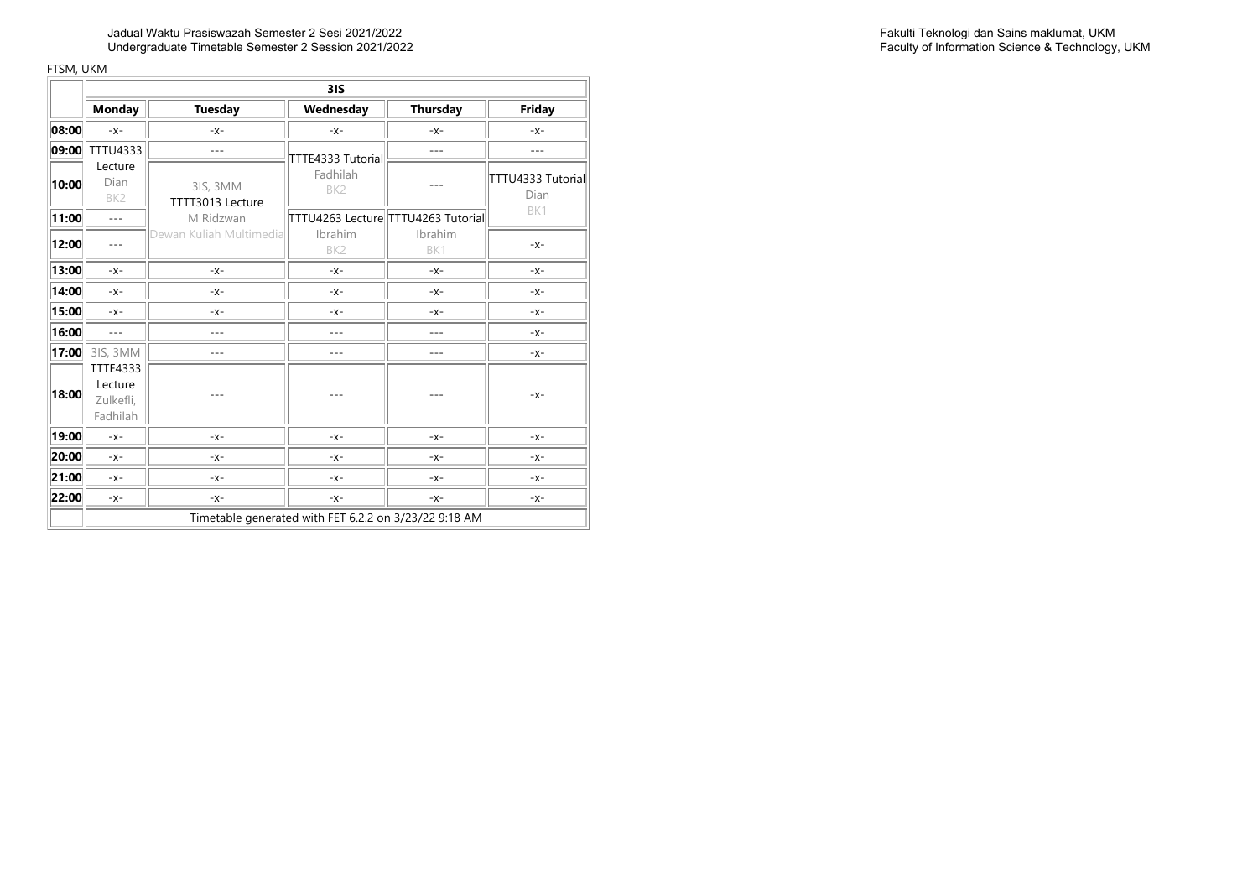|       |                                                     | 31S                          |                                                       |                |                           |  |  |
|-------|-----------------------------------------------------|------------------------------|-------------------------------------------------------|----------------|---------------------------|--|--|
|       | <b>Monday</b>                                       | <b>Tuesday</b>               | Wednesday                                             | Thursday       | Friday                    |  |  |
| 08:00 | $-x-$                                               | $-x$ -                       | $-X-$                                                 | $-X-$          | $-X-$                     |  |  |
| 09:00 | TTTU4333                                            | $---$                        | TTTE4333 Tutorial                                     | ---            | $---$                     |  |  |
| 10:00 | Lecture<br>Dian<br>BK <sub>2</sub>                  | 3IS, 3MM<br>TTTT3013 Lecture | Fadhilah<br>BK <sub>2</sub>                           |                | TTTU4333 Tutorial<br>Dian |  |  |
| 11:00 | $\overline{a}$                                      | M Ridzwan                    | TTTU4263 Lecture TTTU4263 Tutorial                    |                | BK1                       |  |  |
| 12:00 | $---$                                               | Dewan Kuliah Multimedial     | Ibrahim<br>BK <sub>2</sub>                            | Ibrahim<br>BK1 | $-X-$                     |  |  |
| 13:00 | $-X-$                                               | $-X-$                        | -X-                                                   | $-X-$          | $-X-$                     |  |  |
| 14:00 | $-X-$                                               | $-X-$                        | $-X-$                                                 | $-X-$          | $-X-$                     |  |  |
| 15:00 | $-X -$                                              | $-X-$                        | -X-                                                   | $-X-$          | $-X-$                     |  |  |
| 16:00 | $\sim$                                              | ---                          | ---                                                   | ---            | $-X-$                     |  |  |
| 17:00 | 31S, 3MM                                            | ---                          | ---                                                   | ---            | $-X-$                     |  |  |
| 18:00 | <b>TTTE4333</b><br>Lecture<br>Zulkefli,<br>Fadhilah |                              |                                                       |                | $-X-$                     |  |  |
| 19:00 | $-X -$                                              | $-X-$                        | $-X-$                                                 | $-X-$          | $-X-$                     |  |  |
| 20:00 | $-X-$                                               | $-X-$                        | -X-                                                   | $-X-$          | $-X-$                     |  |  |
| 21:00 | $-X -$                                              | $-X-$                        | $-X-$                                                 | $-X-$          | $-X-$                     |  |  |
| 22:00 | $-X -$                                              | $-X-$                        | $-X-$                                                 | $-X-$          | $-X-$                     |  |  |
|       |                                                     |                              | Timetable generated with FET 6.2.2 on 3/23/22 9:18 AM |                |                           |  |  |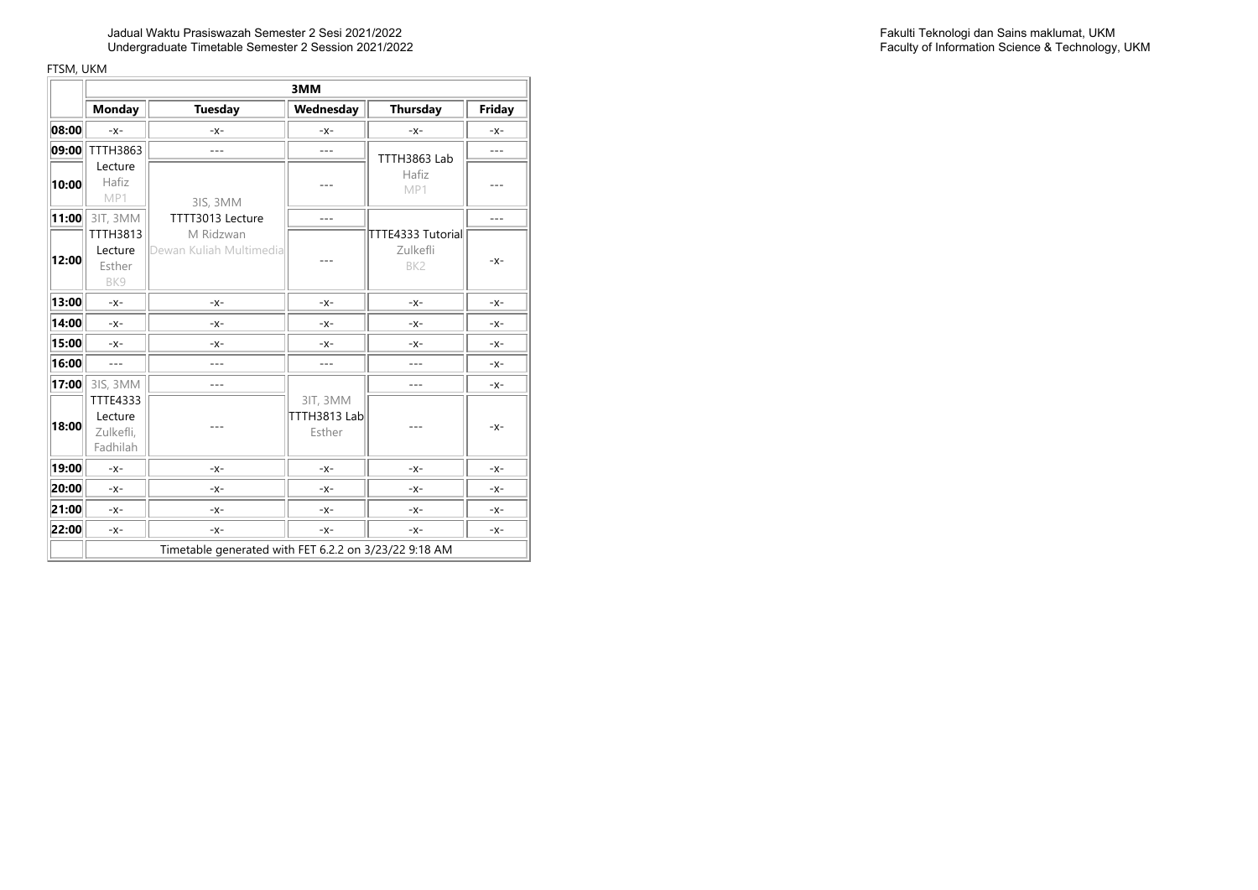<u> The Common State of the Common State of the Common State of the Common State of the Common State of the Common State of the Common State of the Common State of the Common State of the Common State of the Common State of </u>

|       |                                              | 3MM                                                   |                                    |                                                  |                |  |  |
|-------|----------------------------------------------|-------------------------------------------------------|------------------------------------|--------------------------------------------------|----------------|--|--|
|       | <b>Monday</b>                                | <b>Tuesday</b>                                        | Wednesday                          | Thursday                                         | Friday         |  |  |
| 08:00 | $-X-$                                        | $-X-$                                                 | $-X-$                              | $-X -$                                           | $-X -$         |  |  |
| 09:00 | TTTH3863                                     | $---$                                                 | $---$                              | TTTH3863 Lab                                     | $ -$           |  |  |
| 10:00 | Lecture<br>Hafiz<br>MP1                      | 3IS, 3MM                                              |                                    | Hafiz<br>MP1                                     |                |  |  |
| 11:00 | 3IT, 3MM                                     | TTTT3013 Lecture                                      | $---$                              |                                                  | $\overline{a}$ |  |  |
| 12:00 | TTTH3813<br>Lecture<br>Esther<br>BK9         | M Ridzwan<br>Dewan Kuliah Multimedial                 |                                    | TTTE4333 Tutorial<br>Zulkefli<br>BK <sub>2</sub> | $-X -$         |  |  |
| 13:00 | $-X -$                                       | $-X-$                                                 | $-X-$                              | $-X-$                                            | $-X-$          |  |  |
| 14:00 | $-X-$                                        | $-X-$                                                 | $-X-$                              | $-X-$                                            | $-X-$          |  |  |
| 15:00 | $-X-$                                        | $-X-$                                                 | $-X-$                              | $-X-$                                            | $-X-$          |  |  |
| 16:00 | $---$                                        | $- - -$                                               | $---$                              | $---$                                            | $-X -$         |  |  |
| 17:00 | 31S, 3MM                                     | ---                                                   |                                    | ---                                              | $-X -$         |  |  |
| 18:00 | TTTE4333<br>Lecture<br>Zulkefli,<br>Fadhilah |                                                       | 3IT, 3MM<br>TTTH3813 Lab<br>Esther |                                                  | $-X-$          |  |  |
| 19:00 | $-X -$                                       | $-X-$                                                 | $-X-$                              | $-X-$                                            | $-X-$          |  |  |
| 20:00 | $-X-$                                        | $-X-$                                                 | $-X-$                              | $-X-$                                            | $-X-$          |  |  |
| 21:00 | $-X -$                                       | $-X-$                                                 | $-X-$                              | $-X-$                                            | $-X-$          |  |  |
| 22:00 | $-X-$                                        | $-X-$                                                 | $-X-$                              | $-X-$                                            | $-X-$          |  |  |
|       |                                              | Timetable generated with FET 6.2.2 on 3/23/22 9:18 AM |                                    |                                                  |                |  |  |